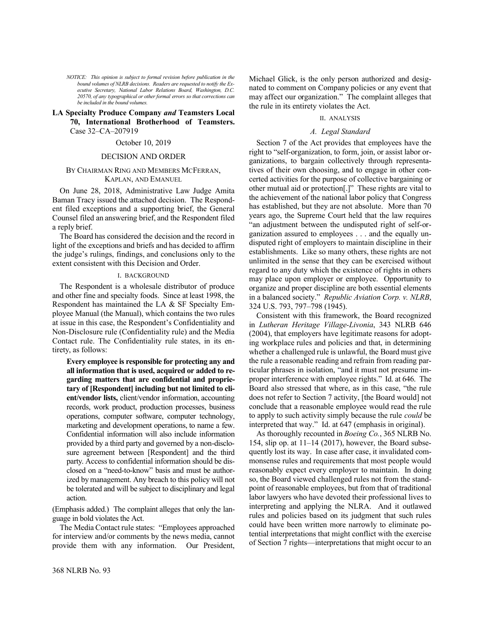*NOTICE: This opinion is subject to formal revision before publication in the bound volumes of NLRB decisions. Readers are requested to notify the Executive Secretary, National Labor Relations Board, Washington, D.C. 20570, of any typographical or other formal errors so that corrections can be included in the bound volumes.*

## **LA Specialty Produce Company** *and* **Teamsters Local 70, International Brotherhood of Teamsters.**  Case 32–CA–207919

# October 10, 2019

### DECISION AND ORDER

## BY CHAIRMAN RING AND MEMBERS MCFERRAN, KAPLAN, AND EMANUEL

On June 28, 2018, Administrative Law Judge Amita Baman Tracy issued the attached decision. The Respondent filed exceptions and a supporting brief, the General Counsel filed an answering brief, and the Respondent filed a reply brief.

The Board has considered the decision and the record in light of the exceptions and briefs and has decided to affirm the judge's rulings, findings, and conclusions only to the extent consistent with this Decision and Order.

### I. BACKGROUND

The Respondent is a wholesale distributor of produce and other fine and specialty foods. Since at least 1998, the Respondent has maintained the LA & SF Specialty Employee Manual (the Manual), which contains the two rules at issue in this case, the Respondent's Confidentiality and Non-Disclosure rule (Confidentiality rule) and the Media Contact rule. The Confidentiality rule states, in its entirety, as follows:

**Every employee is responsible for protecting any and all information that is used, acquired or added to regarding matters that are confidential and proprietary of [Respondent] including but not limited to client/vendor lists,** client/vendor information, accounting records, work product, production processes, business operations, computer software, computer technology, marketing and development operations, to name a few. Confidential information will also include information provided by a third party and governed by a non-disclosure agreement between [Respondent] and the third party. Access to confidential information should be disclosed on a "need-to-know" basis and must be authorized by management. Any breach to this policy will not be tolerated and will be subject to disciplinary and legal action.

(Emphasis added.) The complaint alleges that only the language in bold violates the Act.

The Media Contact rule states: "Employees approached for interview and/or comments by the news media, cannot provide them with any information. Our President, Michael Glick, is the only person authorized and designated to comment on Company policies or any event that may affect our organization." The complaint alleges that the rule in its entirety violates the Act.

## II. ANALYSIS

## *A. Legal Standard*

Section 7 of the Act provides that employees have the right to "self-organization, to form, join, or assist labor organizations, to bargain collectively through representatives of their own choosing, and to engage in other concerted activities for the purpose of collective bargaining or other mutual aid or protection[.]" These rights are vital to the achievement of the national labor policy that Congress has established, but they are not absolute. More than 70 years ago, the Supreme Court held that the law requires "an adjustment between the undisputed right of self-organization assured to employees . . . and the equally undisputed right of employers to maintain discipline in their establishments. Like so many others, these rights are not unlimited in the sense that they can be exercised without regard to any duty which the existence of rights in others may place upon employer or employee. Opportunity to organize and proper discipline are both essential elements in a balanced society." *Republic Aviation Corp. v. NLRB*, 324 U.S. 793, 797–798 (1945).

Consistent with this framework, the Board recognized in *Lutheran Heritage Village-Livonia*, 343 NLRB 646 (2004), that employers have legitimate reasons for adopting workplace rules and policies and that, in determining whether a challenged rule is unlawful, the Board must give the rule a reasonable reading and refrain from reading particular phrases in isolation, "and it must not presume improper interference with employee rights." Id. at 646. The Board also stressed that where, as in this case, "the rule does not refer to Section 7 activity, [the Board would] not conclude that a reasonable employee would read the rule to apply to such activity simply because the rule *could* be interpreted that way." Id. at 647 (emphasis in original).

As thoroughly recounted in *Boeing Co.*, 365 NLRB No. 154, slip op. at 11–14 (2017), however, the Board subsequently lost its way. In case after case, it invalidated commonsense rules and requirements that most people would reasonably expect every employer to maintain. In doing so, the Board viewed challenged rules not from the standpoint of reasonable employees, but from that of traditional labor lawyers who have devoted their professional lives to interpreting and applying the NLRA. And it outlawed rules and policies based on its judgment that such rules could have been written more narrowly to eliminate potential interpretations that might conflict with the exercise of Section 7 rights—interpretations that might occur to an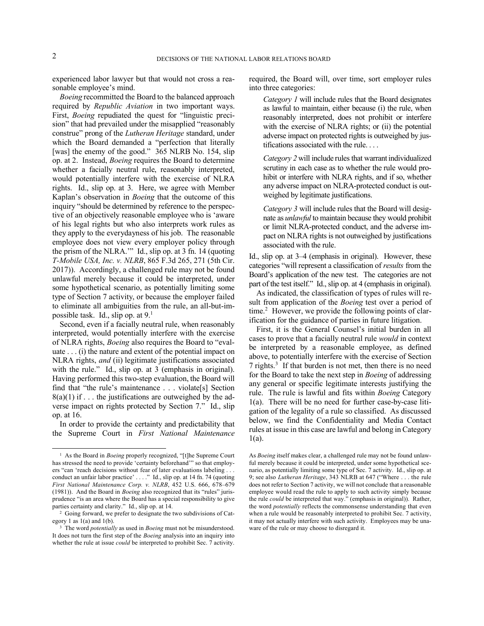1

experienced labor lawyer but that would not cross a reasonable employee's mind.

*Boeing* recommitted the Board to the balanced approach required by *Republic Aviation* in two important ways. First, *Boeing* repudiated the quest for "linguistic precision" that had prevailed under the misapplied "reasonably construe" prong of the *Lutheran Heritage* standard, under which the Board demanded a "perfection that literally [was] the enemy of the good." 365 NLRB No. 154, slip op. at 2. Instead, *Boeing* requires the Board to determine whether a facially neutral rule, reasonably interpreted, would potentially interfere with the exercise of NLRA rights. Id., slip op. at 3. Here, we agree with Member Kaplan's observation in *Boeing* that the outcome of this inquiry "should be determined by reference to the perspective of an objectively reasonable employee who is 'aware of his legal rights but who also interprets work rules as they apply to the everydayness of his job. The reasonable employee does not view every employer policy through the prism of the NLRA.'" Id., slip op. at 3 fn. 14 (quoting *T-Mobile USA, Inc. v. NLRB*, 865 F.3d 265, 271 (5th Cir. 2017)). Accordingly, a challenged rule may not be found unlawful merely because it could be interpreted, under some hypothetical scenario, as potentially limiting some type of Section 7 activity, or because the employer failed to eliminate all ambiguities from the rule, an all-but-impossible task. Id., slip op. at  $9<sup>1</sup>$ 

Second, even if a facially neutral rule, when reasonably interpreted, would potentially interfere with the exercise of NLRA rights, *Boeing* also requires the Board to "evaluate . . . (i) the nature and extent of the potential impact on NLRA rights, *and* (ii) legitimate justifications associated with the rule." Id., slip op. at 3 (emphasis in original). Having performed this two-step evaluation, the Board will find that "the rule's maintenance . . . violate[s] Section  $8(a)(1)$  if ... the justifications are outweighed by the adverse impact on rights protected by Section 7." Id., slip op. at 16.

In order to provide the certainty and predictability that the Supreme Court in *First National Maintenance* required, the Board will, over time, sort employer rules into three categories:

*Category 1* will include rules that the Board designates as lawful to maintain, either because (i) the rule, when reasonably interpreted, does not prohibit or interfere with the exercise of NLRA rights; or (ii) the potential adverse impact on protected rights is outweighed by justifications associated with the rule. . . .

*Category 2* will include rules that warrant individualized scrutiny in each case as to whether the rule would prohibit or interfere with NLRA rights, and if so, whether any adverse impact on NLRA-protected conduct is outweighed by legitimate justifications.

*Category 3* will include rules that the Board will designate as *unlawful* to maintain because they would prohibit or limit NLRA-protected conduct, and the adverse impact on NLRA rights is not outweighed by justifications associated with the rule.

Id., slip op. at 3–4 (emphasis in original). However, these categories "will represent a classification of *results* from the Board's application of the new test. The categories are not part of the test itself." Id., slip op. at 4 (emphasis in original).

As indicated, the classification of types of rules will result from application of the *Boeing* test over a period of time.<sup>2</sup> However, we provide the following points of clarification for the guidance of parties in future litigation.

First, it is the General Counsel's initial burden in all cases to prove that a facially neutral rule *would* in context be interpreted by a reasonable employee, as defined above, to potentially interfere with the exercise of Section 7 rights.<sup>3</sup> If that burden is not met, then there is no need for the Board to take the next step in *Boeing* of addressing any general or specific legitimate interests justifying the rule. The rule is lawful and fits within *Boeing* Category 1(a). There will be no need for further case-by-case litigation of the legality of a rule so classified. As discussed below, we find the Confidentiality and Media Contact rules at issue in this case are lawful and belong in Category 1(a).

<sup>&</sup>lt;sup>1</sup> As the Board in *Boeing* properly recognized, "[t]he Supreme Court has stressed the need to provide 'certainty beforehand'" so that employers "can 'reach decisions without fear of later evaluations labeling . . . conduct an unfair labor practice' . . . ." Id., slip op. at 14 fn. 74 (quoting *First National Maintenance Corp. v. NLRB*, 452 U.S. 666, 678–679 (1981)). And the Board in *Boeing* also recognized that its "rules" jurisprudence "is an area where the Board has a special responsibility to give parties certainty and clarity." Id., slip op. at 14.

<sup>2</sup> Going forward, we prefer to designate the two subdivisions of Category 1 as 1(a) and 1(b).

<sup>&</sup>lt;sup>3</sup> The word *potentially* as used in *Boeing* must not be misunderstood. It does not turn the first step of the *Boeing* analysis into an inquiry into whether the rule at issue *could* be interpreted to prohibit Sec. 7 activity.

As *Boeing* itself makes clear, a challenged rule may not be found unlawful merely because it could be interpreted, under some hypothetical scenario, as potentially limiting some type of Sec. 7 activity. Id., slip op. at 9; see also *Lutheran Heritage*, 343 NLRB at 647 ("Where . . . the rule does not refer to Section 7 activity, we will not conclude that a reasonable employee would read the rule to apply to such activity simply because the rule *could* be interpreted that way." (emphasis in original)). Rather, the word *potentially* reflects the commonsense understanding that even when a rule would be reasonably interpreted to prohibit Sec. 7 activity, it may not actually interfere with such activity. Employees may be unaware of the rule or may choose to disregard it.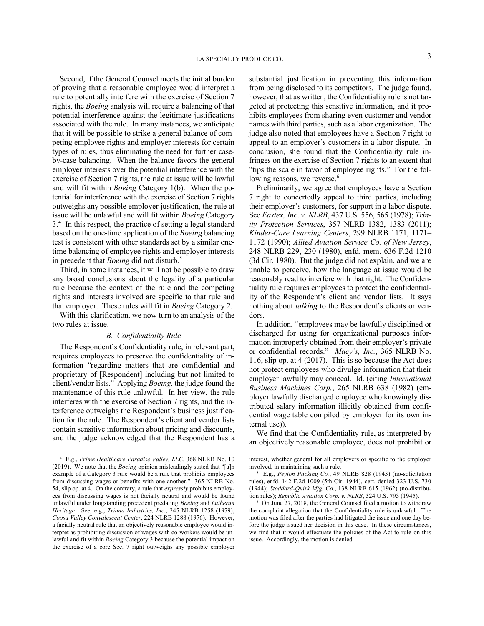Second, if the General Counsel meets the initial burden of proving that a reasonable employee would interpret a rule to potentially interfere with the exercise of Section 7 rights, the *Boeing* analysis will require a balancing of that potential interference against the legitimate justifications associated with the rule. In many instances, we anticipate that it will be possible to strike a general balance of competing employee rights and employer interests for certain types of rules, thus eliminating the need for further caseby-case balancing. When the balance favors the general employer interests over the potential interference with the exercise of Section 7 rights, the rule at issue will be lawful and will fit within *Boeing* Category 1(b). When the potential for interference with the exercise of Section 7 rights outweighs any possible employer justification, the rule at issue will be unlawful and will fit within *Boeing* Category 3.<sup>4</sup> In this respect, the practice of setting a legal standard based on the one-time application of the *Boeing* balancing test is consistent with other standards set by a similar onetime balancing of employee rights and employer interests in precedent that *Boeing* did not disturb.<sup>5</sup>

Third, in some instances, it will not be possible to draw any broad conclusions about the legality of a particular rule because the context of the rule and the competing rights and interests involved are specific to that rule and that employer. These rules will fit in *Boeing* Category 2.

With this clarification, we now turn to an analysis of the two rules at issue.

### *B. Confidentiality Rule*

The Respondent's Confidentiality rule, in relevant part, requires employees to preserve the confidentiality of information "regarding matters that are confidential and proprietary of [Respondent] including but not limited to client/vendor lists." Applying *Boeing,* the judge found the maintenance of this rule unlawful. In her view, the rule interferes with the exercise of Section 7 rights, and the interference outweighs the Respondent's business justification for the rule. The Respondent's client and vendor lists contain sensitive information about pricing and discounts, and the judge acknowledged that the Respondent has a

-

substantial justification in preventing this information from being disclosed to its competitors. The judge found, however, that as written, the Confidentiality rule is not targeted at protecting this sensitive information, and it prohibits employees from sharing even customer and vendor names with third parties, such as a labor organization. The judge also noted that employees have a Section 7 right to appeal to an employer's customers in a labor dispute. In conclusion, she found that the Confidentiality rule infringes on the exercise of Section 7 rights to an extent that "tips the scale in favor of employee rights." For the following reasons, we reverse.<sup>6</sup>

Preliminarily, we agree that employees have a Section 7 right to concertedly appeal to third parties, including their employer's customers, for support in a labor dispute. See *Eastex, Inc*. *v. NLRB*, 437 U.S. 556, 565 (1978); *Trinity Protection Services*, 357 NLRB 1382, 1383 (2011); *Kinder-Care Learning Centers*, 299 NLRB 1171, 1171– 1172 (1990); *Allied Aviation Service Co. of New Jersey*, 248 NLRB 229, 230 (1980), enfd. mem. 636 F.2d 1210 (3d Cir. 1980). But the judge did not explain, and we are unable to perceive, how the language at issue would be reasonably read to interfere with that right. The Confidentiality rule requires employees to protect the confidentiality of the Respondent's client and vendor lists. It says nothing about *talking* to the Respondent's clients or vendors.

In addition, "employees may be lawfully disciplined or discharged for using for organizational purposes information improperly obtained from their employer's private or confidential records." *Macy's, Inc.*, 365 NLRB No. 116, slip op. at 4 (2017). This is so because the Act does not protect employees who divulge information that their employer lawfully may conceal. Id. (citing *International Business Machines Corp.*, 265 NLRB 638 (1982) (employer lawfully discharged employee who knowingly distributed salary information illicitly obtained from confidential wage table compiled by employer for its own internal use)).

We find that the Confidentiality rule, as interpreted by an objectively reasonable employee, does not prohibit or

<sup>4</sup> E.g., *Prime Healthcare Paradise Valley, LLC*, 368 NLRB No. 10 (2019). We note that the *Boeing* opinion misleadingly stated that "[a]n example of a Category 3 rule would be a rule that prohibits employees from discussing wages or benefits with one another." 365 NLRB No. 54, slip op. at 4. On the contrary, a rule that *expressly* prohibits employees from discussing wages is not facially neutral and would be found unlawful under longstanding precedent predating *Boeing* and *Lutheran Heritage*. See, e.g., *Triana Industries, Inc.*, 245 NLRB 1258 (1979); *Coosa Valley Convalescent Center*, 224 NLRB 1288 (1976). However, a facially neutral rule that an objectively reasonable employee would interpret as prohibiting discussion of wages with co-workers would be unlawful and fit within *Boeing* Category 3 because the potential impact on the exercise of a core Sec. 7 right outweighs any possible employer

interest, whether general for all employers or specific to the employer involved, in maintaining such a rule.

<sup>5</sup> E.g., *Peyton Packing Co.*, 49 NLRB 828 (1943) (no-solicitation rules), enfd. 142 F.2d 1009 (5th Cir. 1944), cert. denied 323 U.S. 730 (1944); *Stoddard-Quirk Mfg. Co.*, 138 NLRB 615 (1962) (no-distribution rules); *Republic Aviation Corp. v. NLRB*, 324 U.S. 793 (1945).

<sup>6</sup> On June 27, 2018, the General Counsel filed a motion to withdraw the complaint allegation that the Confidentiality rule is unlawful. The motion was filed after the parties had litigated the issue and one day before the judge issued her decision in this case. In these circumstances, we find that it would effectuate the policies of the Act to rule on this issue. Accordingly, the motion is denied.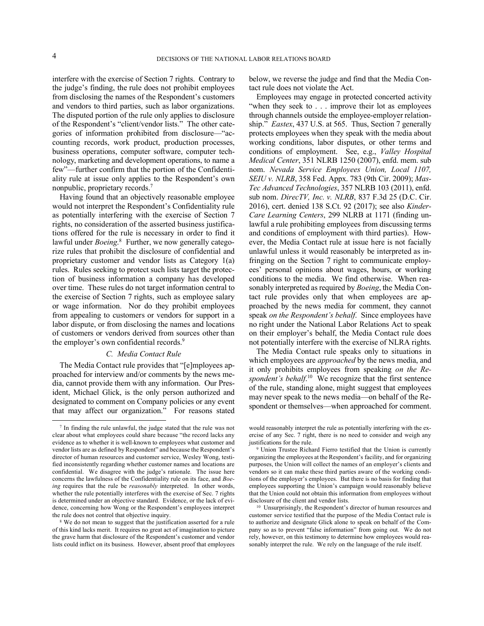-

interfere with the exercise of Section 7 rights. Contrary to the judge's finding, the rule does not prohibit employees from disclosing the names of the Respondent's customers and vendors to third parties, such as labor organizations. The disputed portion of the rule only applies to disclosure of the Respondent's "client/vendor lists." The other categories of information prohibited from disclosure—"accounting records, work product, production processes, business operations, computer software, computer technology, marketing and development operations, to name a few"—further confirm that the portion of the Confidentiality rule at issue only applies to the Respondent's own nonpublic, proprietary records.<sup>7</sup>

Having found that an objectively reasonable employee would not interpret the Respondent's Confidentiality rule as potentially interfering with the exercise of Section 7 rights, no consideration of the asserted business justifications offered for the rule is necessary in order to find it lawful under *Boeing*. 8 Further, we now generally categorize rules that prohibit the disclosure of confidential and proprietary customer and vendor lists as Category 1(a) rules. Rules seeking to protect such lists target the protection of business information a company has developed over time. These rules do not target information central to the exercise of Section 7 rights, such as employee salary or wage information. Nor do they prohibit employees from appealing to customers or vendors for support in a labor dispute, or from disclosing the names and locations of customers or vendors derived from sources other than the employer's own confidential records.<sup>9</sup>

## *C. Media Contact Rule*

The Media Contact rule provides that "[e]mployees approached for interview and/or comments by the news media, cannot provide them with any information. Our President, Michael Glick, is the only person authorized and designated to comment on Company policies or any event that may affect our organization." For reasons stated below, we reverse the judge and find that the Media Contact rule does not violate the Act.

Employees may engage in protected concerted activity "when they seek to . . . improve their lot as employees through channels outside the employee-employer relationship." *Eastex*, 437 U.S. at 565. Thus, Section 7 generally protects employees when they speak with the media about working conditions, labor disputes, or other terms and conditions of employment. See, e.g., *Valley Hospital Medical Center*, 351 NLRB 1250 (2007), enfd. mem. sub nom. *Nevada Service Employees Union, Local 1107, SEIU v. NLRB*, 358 Fed. Appx. 783 (9th Cir. 2009); *Mas-Tec Advanced Technologies*, 357 NLRB 103 (2011), enfd. sub nom. *DirecTV, Inc. v. NLRB*, 837 F.3d 25 (D.C. Cir. 2016), cert. denied 138 S.Ct. 92 (2017); see also *Kinder-Care Learning Centers*, 299 NLRB at 1171 (finding unlawful a rule prohibiting employees from discussing terms and conditions of employment with third parties). However, the Media Contact rule at issue here is not facially unlawful unless it would reasonably be interpreted as infringing on the Section 7 right to communicate employees' personal opinions about wages, hours, or working conditions to the media. We find otherwise. When reasonably interpreted as required by *Boeing*, the Media Contact rule provides only that when employees are approached by the news media for comment, they cannot speak *on the Respondent's behalf*. Since employees have no right under the National Labor Relations Act to speak on their employer's behalf, the Media Contact rule does not potentially interfere with the exercise of NLRA rights.

The Media Contact rule speaks only to situations in which employees are *approached* by the news media, and it only prohibits employees from speaking *on the Re*spondent's behalf.<sup>10</sup> We recognize that the first sentence of the rule, standing alone, might suggest that employees may never speak to the news media—on behalf of the Respondent or themselves—when approached for comment.

<sup>7</sup> In finding the rule unlawful, the judge stated that the rule was not clear about what employees could share because "the record lacks any evidence as to whether it is well-known to employees what customer and vendor lists are as defined by Respondent" and because the Respondent's director of human resources and customer service, Wesley Wong, testified inconsistently regarding whether customer names and locations are confidential. We disagree with the judge's rationale. The issue here concerns the lawfulness of the Confidentiality rule on its face, and *Boeing* requires that the rule be *reasonably* interpreted. In other words, whether the rule potentially interferes with the exercise of Sec. 7 rights is determined under an objective standard. Evidence, or the lack of evidence, concerning how Wong or the Respondent's employees interpret the rule does not control that objective inquiry.

<sup>&</sup>lt;sup>8</sup> We do not mean to suggest that the justification asserted for a rule of this kind lacks merit. It requires no great act of imagination to picture the grave harm that disclosure of the Respondent's customer and vendor lists could inflict on its business. However, absent proof that employees

would reasonably interpret the rule as potentially interfering with the exercise of any Sec. 7 right, there is no need to consider and weigh any justifications for the rule.

<sup>9</sup> Union Trustee Richard Fierro testified that the Union is currently organizing the employees at the Respondent's facility, and for organizing purposes, the Union will collect the names of an employer's clients and vendors so it can make these third parties aware of the working conditions of the employer's employees. But there is no basis for finding that employees supporting the Union's campaign would reasonably believe that the Union could not obtain this information from employees without disclosure of the client and vendor lists.

<sup>10</sup> Unsurprisingly, the Respondent's director of human resources and customer service testified that the purpose of the Media Contact rule is to authorize and designate Glick alone to speak on behalf of the Company so as to prevent "false information" from going out. We do not rely, however, on this testimony to determine how employees would reasonably interpret the rule. We rely on the language of the rule itself.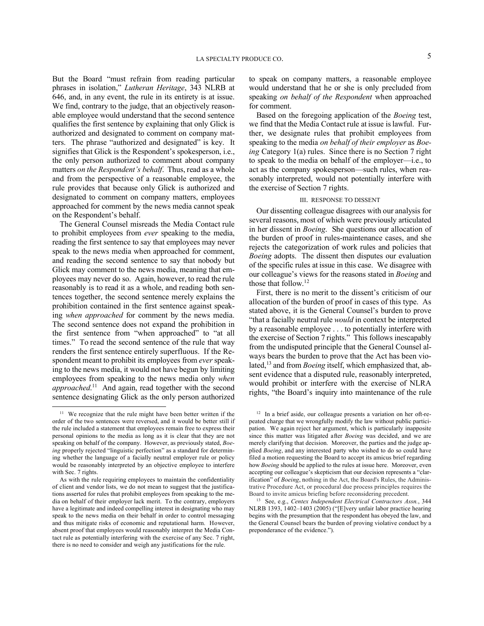But the Board "must refrain from reading particular phrases in isolation," *Lutheran Heritage*, 343 NLRB at 646, and, in any event, the rule in its entirety is at issue. We find, contrary to the judge, that an objectively reasonable employee would understand that the second sentence qualifies the first sentence by explaining that only Glick is authorized and designated to comment on company matters. The phrase "authorized and designated" is key. It signifies that Glick is the Respondent's spokesperson, i.e., the only person authorized to comment about company matters *on the Respondent's behalf*. Thus, read as a whole and from the perspective of a reasonable employee, the rule provides that because only Glick is authorized and designated to comment on company matters, employees approached for comment by the news media cannot speak on the Respondent's behalf.

The General Counsel misreads the Media Contact rule to prohibit employees from *ever* speaking to the media, reading the first sentence to say that employees may never speak to the news media when approached for comment, and reading the second sentence to say that nobody but Glick may comment to the news media, meaning that employees may never do so. Again, however, to read the rule reasonably is to read it as a whole, and reading both sentences together, the second sentence merely explains the prohibition contained in the first sentence against speaking *when approached* for comment by the news media. The second sentence does not expand the prohibition in the first sentence from "when approached" to "at all times." To read the second sentence of the rule that way renders the first sentence entirely superfluous. If the Respondent meant to prohibit its employees from *ever* speaking to the news media, it would not have begun by limiting employees from speaking to the news media only *when*  approached.<sup>11</sup> And again, read together with the second sentence designating Glick as the only person authorized

-

to speak on company matters, a reasonable employee would understand that he or she is only precluded from speaking *on behalf of the Respondent* when approached for comment.

Based on the foregoing application of the *Boeing* test, we find that the Media Contact rule at issue is lawful. Further, we designate rules that prohibit employees from speaking to the media *on behalf of their employer* as *Boeing* Category 1(a) rules. Since there is no Section 7 right to speak to the media on behalf of the employer—i.e., to act as the company spokesperson—such rules, when reasonably interpreted, would not potentially interfere with the exercise of Section 7 rights.

## III. RESPONSE TO DISSENT

Our dissenting colleague disagrees with our analysis for several reasons, most of which were previously articulated in her dissent in *Boeing*. She questions our allocation of the burden of proof in rules-maintenance cases, and she rejects the categorization of work rules and policies that *Boeing* adopts. The dissent then disputes our evaluation of the specific rules at issue in this case. We disagree with our colleague's views for the reasons stated in *Boeing* and those that follow. 12

First, there is no merit to the dissent's criticism of our allocation of the burden of proof in cases of this type. As stated above, it is the General Counsel's burden to prove "that a facially neutral rule *would* in context be interpreted by a reasonable employee . . . to potentially interfere with the exercise of Section 7 rights." This follows inescapably from the undisputed principle that the General Counsel always bears the burden to prove that the Act has been violated,<sup>13</sup> and from *Boeing* itself, which emphasized that, absent evidence that a disputed rule, reasonably interpreted, would prohibit or interfere with the exercise of NLRA rights, "the Board's inquiry into maintenance of the rule

<sup>&</sup>lt;sup>11</sup> We recognize that the rule might have been better written if the order of the two sentences were reversed, and it would be better still if the rule included a statement that employees remain free to express their personal opinions to the media as long as it is clear that they are not speaking on behalf of the company. However, as previously stated, *Boeing* properly rejected "linguistic perfection" as a standard for determining whether the language of a facially neutral employer rule or policy would be reasonably interpreted by an objective employee to interfere with Sec. 7 rights.

As with the rule requiring employees to maintain the confidentiality of client and vendor lists, we do not mean to suggest that the justifications asserted for rules that prohibit employees from speaking to the media on behalf of their employer lack merit. To the contrary, employers have a legitimate and indeed compelling interest in designating who may speak to the news media on their behalf in order to control messaging and thus mitigate risks of economic and reputational harm. However, absent proof that employees would reasonably interpret the Media Contact rule as potentially interfering with the exercise of any Sec. 7 right, there is no need to consider and weigh any justifications for the rule.

<sup>12</sup> In a brief aside, our colleague presents a variation on her oft-repeated charge that we wrongfully modify the law without public participation. We again reject her argument, which is particularly inapposite since this matter was litigated after *Boeing* was decided, and we are merely clarifying that decision. Moreover, the parties and the judge applied *Boeing*, and any interested party who wished to do so could have filed a motion requesting the Board to accept its amicus brief regarding how *Boeing* should be applied to the rules at issue here. Moreover, even accepting our colleague's skepticism that our decision represents a "clarification" of *Boeing*, nothing in the Act, the Board's Rules, the Administrative Procedure Act, or procedural due process principles requires the Board to invite amicus briefing before reconsidering precedent.

<sup>13</sup> See, e.g., *Centex Independent Electrical Contractors Assn.*, 344 NLRB 1393, 1402–1403 (2005) ("[E]very unfair labor practice hearing begins with the presumption that the respondent has obeyed the law, and the General Counsel bears the burden of proving violative conduct by a preponderance of the evidence.").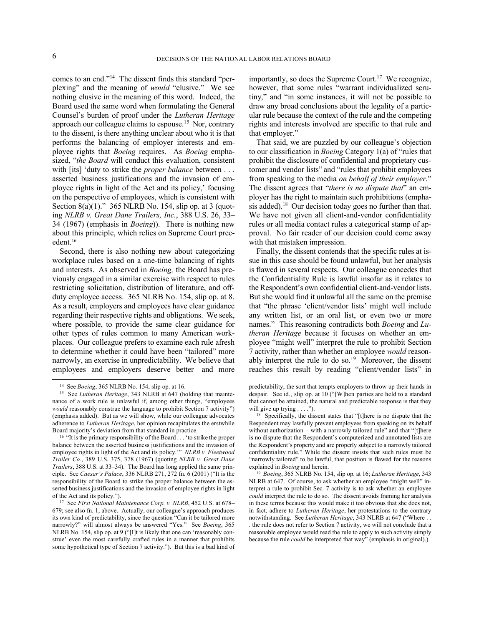-

comes to an end."<sup>14</sup> The dissent finds this standard "perplexing" and the meaning of *would* "elusive." We see nothing elusive in the meaning of this word. Indeed, the Board used the same word when formulating the General Counsel's burden of proof under the *Lutheran Heritage*  approach our colleague claims to espouse.<sup>15</sup> Nor, contrary to the dissent, is there anything unclear about who it is that performs the balancing of employer interests and employee rights that *Boeing* requires. As *Boeing* emphasized, "*the Board* will conduct this evaluation, consistent with [its] 'duty to strike the *proper balance* between . . . asserted business justifications and the invasion of employee rights in light of the Act and its policy,' focusing on the perspective of employees, which is consistent with Section  $8(a)(1)$ ." 365 NLRB No. 154, slip op. at 3 (quoting *NLRB v. Great Dane Trailers, Inc.*, 388 U.S. 26, 33– 34 (1967) (emphasis in *Boeing*)). There is nothing new about this principle, which relies on Supreme Court precedent.<sup>16</sup>

Second, there is also nothing new about categorizing workplace rules based on a one-time balancing of rights and interests. As observed in *Boeing,* the Board has previously engaged in a similar exercise with respect to rules restricting solicitation, distribution of literature, and offduty employee access. 365 NLRB No. 154, slip op. at 8. As a result, employers and employees have clear guidance regarding their respective rights and obligations. We seek, where possible, to provide the same clear guidance for other types of rules common to many American workplaces. Our colleague prefers to examine each rule afresh to determine whether it could have been "tailored" more narrowly, an exercise in unpredictability. We believe that employees and employers deserve better—and more

importantly, so does the Supreme Court.<sup>17</sup> We recognize, however, that some rules "warrant individualized scrutiny," and "in some instances, it will not be possible to draw any broad conclusions about the legality of a particular rule because the context of the rule and the competing rights and interests involved are specific to that rule and that employer."

That said, we are puzzled by our colleague's objection to our classification in *Boeing* Category 1(a) of "rules that prohibit the disclosure of confidential and proprietary customer and vendor lists" and "rules that prohibit employees from speaking to the media *on behalf of their employer.*" The dissent agrees that "*there is no dispute that*" an employer has the right to maintain such prohibitions (emphasis added).<sup>18</sup> Our decision today goes no further than that. We have not given all client-and-vendor confidentiality rules or all media contact rules a categorical stamp of approval. No fair reader of our decision could come away with that mistaken impression.

Finally, the dissent contends that the specific rules at issue in this case should be found unlawful, but her analysis is flawed in several respects. Our colleague concedes that the Confidentiality Rule is lawful insofar as it relates to the Respondent's own confidential client-and-vendor lists. But she would find it unlawful all the same on the premise that "the phrase 'client/vendor lists' might well include any written list, or an oral list, or even two or more names." This reasoning contradicts both *Boeing* and *Lutheran Heritage* because it focuses on whether an employee "might well" interpret the rule to prohibit Section 7 activity, rather than whether an employee *would* reasonably interpret the rule to do so.<sup>19</sup> Moreover, the dissent reaches this result by reading "client/vendor lists" in

<sup>14</sup> See *Boeing*, 365 NLRB No. 154, slip op. at 16.

<sup>&</sup>lt;sup>15</sup> See *Lutheran Heritage*, 343 NLRB at 647 (holding that maintenance of a work rule is unlawful if, among other things, "employees *would* reasonably construe the language to prohibit Section 7 activity") (emphasis added). But as we will show, while our colleague advocates adherence to *Lutheran Heritage*, her opinion recapitulates the erstwhile Board majority's deviation from that standard in practice.

<sup>&</sup>lt;sup>16</sup> "It is the primary responsibility of the Board . . . 'to strike the proper balance between the asserted business justifications and the invasion of employee rights in light of the Act and its policy.'" *NLRB v. Fleetwood Trailer Co.*, 389 U.S. 375, 378 (1967) (quoting *NLRB v. Great Dane Trailers*, 388 U.S. at 33–34). The Board has long applied the same principle. See *Caesar's Palace*, 336 NLRB 271, 272 fn. 6 (2001) ("It is the responsibility of the Board to strike the proper balance between the asserted business justifications and the invasion of employee rights in light of the Act and its policy.").

<sup>17</sup> See *First National Maintenance Corp. v. NLRB*, 452 U.S. at 678– 679; see also fn. 1, above. Actually, our colleague's approach produces its own kind of predictability, since the question "Can it be tailored more narrowly?" will almost always be answered "Yes." See *Boeing*, 365 NLRB No. 154, slip op. at 9 ("[I]t is likely that one can 'reasonably construe' even the most carefully crafted rules in a manner that prohibits some hypothetical type of Section 7 activity."). But this is a bad kind of

predictability, the sort that tempts employers to throw up their hands in despair. See id., slip op. at 10 ("[W]hen parties are held to a standard that cannot be attained, the natural and predictable response is that they will give up trying . . . .").

<sup>&</sup>lt;sup>18</sup> Specifically, the dissent states that "[t]here is no dispute that the Respondent may lawfully prevent employees from speaking on its behalf without authorization – with a narrowly tailored rule" and that "[t]here is no dispute that the Respondent's computerized and annotated lists are the Respondent's property and are properly subject to a narrowly tailored confidentiality rule." While the dissent insists that such rules must be "narrowly tailored" to be lawful, that position is flawed for the reasons explained in *Boeing* and herein.

<sup>19</sup> *Boeing*, 365 NLRB No. 154, slip op. at 16; *Lutheran Heritage*, 343 NLRB at 647. Of course, to ask whether an employee "might well" interpret a rule to prohibit Sec. 7 activity is to ask whether an employee *could* interpret the rule to do so. The dissent avoids framing her analysis in these terms because this would make it too obvious that she does not, in fact, adhere to *Lutheran Heritage*, her protestations to the contrary notwithstanding. See *Lutheran Heritage*, 343 NLRB at 647 ("Where . . . the rule does not refer to Section 7 activity, we will not conclude that a reasonable employee would read the rule to apply to such activity simply because the rule *could* be interpreted that way" (emphasis in original).).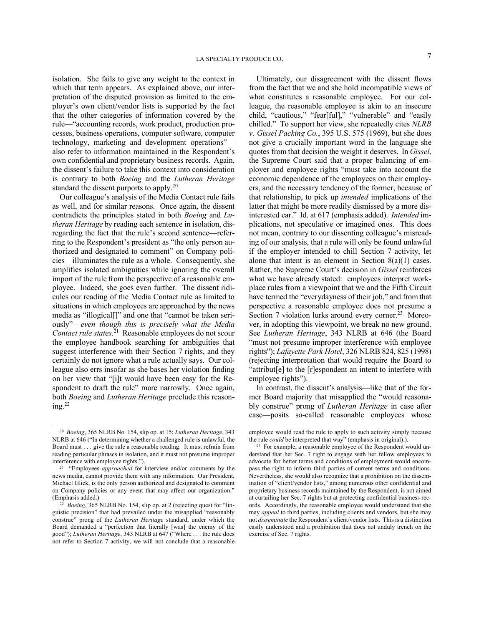isolation. She fails to give any weight to the context in which that term appears. As explained above, our interpretation of the disputed provision as limited to the employer's own client/vendor lists is supported by the fact that the other categories of information covered by the rule—"accounting records, work product, production processes, business operations, computer software, computer technology, marketing and development operations" also refer to information maintained in the Respondent's own confidential and proprietary business records. Again, the dissent's failure to take this context into consideration

is contrary to both *Boeing* and the *Lutheran Heritage*

standard the dissent purports to apply.<sup>20</sup> Our colleague's analysis of the Media Contact rule fails as well, and for similar reasons. Once again, the dissent contradicts the principles stated in both *Boeing* and *Lutheran Heritage* by reading each sentence in isolation, disregarding the fact that the rule's second sentence—referring to the Respondent's president as "the only person authorized and designated to comment" on Company policies—illuminates the rule as a whole. Consequently, she amplifies isolated ambiguities while ignoring the overall import of the rule from the perspective of a reasonable employee. Indeed, she goes even further. The dissent ridicules our reading of the Media Contact rule as limited to situations in which employees are approached by the news media as "illogical[]" and one that "cannot be taken seriously"—*even though this is precisely what the Media Contact rule states*. 21 Reasonable employees do not scour the employee handbook searching for ambiguities that suggest interference with their Section 7 rights, and they certainly do not ignore what a rule actually says. Our colleague also errs insofar as she bases her violation finding on her view that "[i]t would have been easy for the Respondent to draft the rule" more narrowly. Once again, both *Boeing* and *Lutheran Heritage* preclude this reason $ine<sup>22</sup>$ 

-

Ultimately, our disagreement with the dissent flows from the fact that we and she hold incompatible views of what constitutes a reasonable employee. For our colleague, the reasonable employee is akin to an insecure child, "cautious," "fear[ful]," "vulnerable" and "easily chilled." To support her view, she repeatedly cites *NLRB v. Gissel Packing Co.*, 395 U.S. 575 (1969), but she does not give a crucially important word in the language she quotes from that decision the weight it deserves. In *Gissel*, the Supreme Court said that a proper balancing of employer and employee rights "must take into account the economic dependence of the employees on their employers, and the necessary tendency of the former, because of that relationship, to pick up *intended* implications of the latter that might be more readily dismissed by a more disinterested ear." Id. at 617 (emphasis added). *Intended* implications, not speculative or imagined ones. This does not mean, contrary to our dissenting colleague's misreading of our analysis, that a rule will only be found unlawful if the employer intended to chill Section 7 activity, let alone that intent is an element in Section 8(a)(1) cases. Rather, the Supreme Court's decision in *Gissel* reinforces what we have already stated: employees interpret workplace rules from a viewpoint that we and the Fifth Circuit have termed the "everydayness of their job," and from that perspective a reasonable employee does not presume a Section 7 violation lurks around every corner.<sup>23</sup> Moreover, in adopting this viewpoint, we break no new ground. See *Lutheran Heritage*, 343 NLRB at 646 (the Board "must not presume improper interference with employee rights"); *Lafayette Park Hotel*, 326 NLRB 824, 825 (1998) (rejecting interpretation that would require the Board to "attribut[e] to the [r]espondent an intent to interfere with employee rights").

In contrast, the dissent's analysis—like that of the former Board majority that misapplied the "would reasonably construe" prong of *Lutheran Heritage* in case after case—posits so-called reasonable employees whose

<sup>20</sup> *Boeing*, 365 NLRB No. 154, slip op. at 15; *Lutheran Heritage*, 343 NLRB at 646 ("In determining whether a challenged rule is unlawful, the Board must . . . give the rule a reasonable reading. It must refrain from reading particular phrases in isolation, and it must not presume improper interference with employee rights.").

<sup>&</sup>lt;sup>21</sup> "Employees *approached* for interview and/or comments by the news media, cannot provide them with any information. Our President, Michael Glick, is the only person authorized and designated to comment on Company policies or any event that may affect our organization." (Emphasis added.)

<sup>&</sup>lt;sup>22</sup> *Boeing*, 365 NLRB No. 154, slip op. at 2 (rejecting quest for "linguistic precision" that had prevailed under the misapplied "reasonably construe" prong of the *Lutheran Heritage* standard, under which the Board demanded a "perfection that literally [was] the enemy of the good"); *Lutheran Heritage*, 343 NLRB at 647 ("Where . . . the rule does not refer to Section 7 activity, we will not conclude that a reasonable

employee would read the rule to apply to such activity simply because the rule *could* be interpreted that way" (emphasis in original).).

<sup>&</sup>lt;sup>23</sup> For example, a reasonable employee of the Respondent would understand that her Sec. 7 right to engage with her fellow employees to advocate for better terms and conditions of employment would encompass the right to inform third parties of current terms and conditions. Nevertheless, she would also recognize that a prohibition on the dissemination of "client/vendor lists," among numerous other confidential and proprietary business records maintained by the Respondent, is not aimed at curtailing her Sec. 7 rights but at protecting confidential business records. Accordingly, the reasonable employee would understand that she may *appeal* to third parties, including clients and vendors, but she may not *disseminate* the Respondent's client/vendor lists. This is a distinction easily understood and a prohibition that does not unduly trench on the exercise of Sec. 7 rights.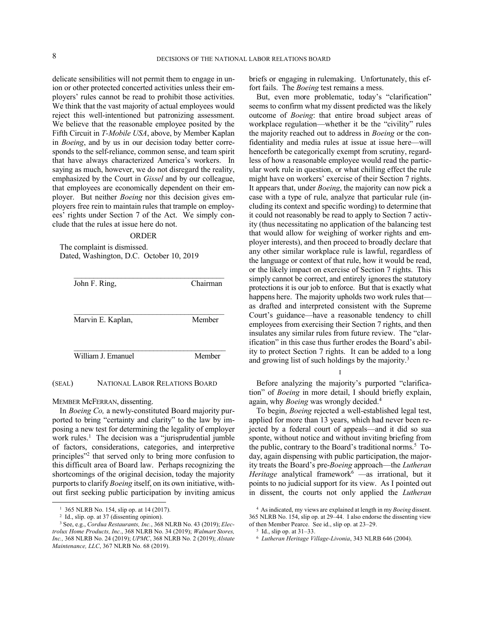delicate sensibilities will not permit them to engage in union or other protected concerted activities unless their employers' rules cannot be read to prohibit those activities. We think that the vast majority of actual employees would reject this well-intentioned but patronizing assessment. We believe that the reasonable employee posited by the Fifth Circuit in *T-Mobile USA*, above, by Member Kaplan in *Boeing*, and by us in our decision today better corresponds to the self-reliance, common sense, and team spirit that have always characterized America's workers. In saying as much, however, we do not disregard the reality, emphasized by the Court in *Gissel* and by our colleague, that employees are economically dependent on their employer. But neither *Boeing* nor this decision gives employers free rein to maintain rules that trample on employees' rights under Section 7 of the Act. We simply conclude that the rules at issue here do not.

## ORDER

The complaint is dismissed. Dated, Washington, D.C. October 10, 2019

| John F. Ring,      | Chairman |
|--------------------|----------|
| Marvin E. Kaplan,  | Member   |
| William J. Emanuel | Member   |

### (SEAL) NATIONAL LABOR RELATIONS BOARD

MEMBER McFERRAN, dissenting.

In *Boeing Co,* a newly-constituted Board majority purported to bring "certainty and clarity" to the law by imposing a new test for determining the legality of employer work rules.<sup>1</sup> The decision was a "jurisprudential jumble of factors, considerations, categories, and interpretive principles"<sup>2</sup> that served only to bring more confusion to this difficult area of Board law. Perhaps recognizing the shortcomings of the original decision, today the majority purports to clarify*Boeing* itself, on its own initiative, without first seeking public participation by inviting amicus

-

briefs or engaging in rulemaking. Unfortunately, this effort fails. The *Boeing* test remains a mess.

But, even more problematic, today's "clarification" seems to confirm what my dissent predicted was the likely outcome of *Boeing*: that entire broad subject areas of workplace regulation—whether it be the "civility" rules the majority reached out to address in *Boeing* or the confidentiality and media rules at issue at issue here—will henceforth be categorically exempt from scrutiny, regardless of how a reasonable employee would read the particular work rule in question, or what chilling effect the rule might have on workers' exercise of their Section 7 rights. It appears that, under *Boeing*, the majority can now pick a case with a type of rule, analyze that particular rule (including its context and specific wording) to determine that it could not reasonably be read to apply to Section 7 activity (thus necessitating no application of the balancing test that would allow for weighing of worker rights and employer interests), and then proceed to broadly declare that any other similar workplace rule is lawful, regardless of the language or context of that rule, how it would be read, or the likely impact on exercise of Section 7 rights. This simply cannot be correct, and entirely ignores the statutory protections it is our job to enforce. But that is exactly what happens here. The majority upholds two work rules that as drafted and interpreted consistent with the Supreme Court's guidance—have a reasonable tendency to chill employees from exercising their Section 7 rights, and then insulates any similar rules from future review. The "clarification" in this case thus further erodes the Board's ability to protect Section 7 rights. It can be added to a long and growing list of such holdings by the majority.<sup>3</sup>

I

Before analyzing the majority's purported "clarification" of *Boeing* in more detail, I should briefly explain, again, why *Boeing* was wrongly decided.<sup>4</sup>

To begin, *Boeing* rejected a well-established legal test, applied for more than 13 years, which had never been rejected by a federal court of appeals—and it did so sua sponte, without notice and without inviting briefing from the public, contrary to the Board's traditional norms. 5 Today, again dispensing with public participation, the majority treats the Board's pre-*Boeing* approach—the *Lutheran Heritage* analytical framework<sup>6</sup> —as irrational, but it points to no judicial support for its view. As I pointed out in dissent, the courts not only applied the *Lutheran* 

<sup>&</sup>lt;sup>1</sup> 365 NLRB No. 154, slip op. at 14 (2017).

<sup>2</sup> Id., slip. op. at 37 (dissenting opinion).

<sup>3</sup> See, e.g., *Cordua Restaurants, Inc.*, 368 NLRB No. 43 (2019); *Electrolux Home Products, Inc.*, 368 NLRB No. 34 (2019); *Walmart Stores, Inc.,* 368 NLRB No. 24 (2019); *UPMC*, 368 NLRB No. 2 (2019); *Alstate Maintenance, LLC*, 367 NLRB No. 68 (2019).

<sup>4</sup> As indicated, my views are explained at length in my *Boeing* dissent. 365 NLRB No. 154, slip op. at 29–44. I also endorse the dissenting view of then Member Pearce. See id., slip op. at 23–29.

<sup>5</sup> Id., slip op. at 31–33.

<sup>6</sup> *Lutheran Heritage Village-Livonia*, 343 NLRB 646 (2004).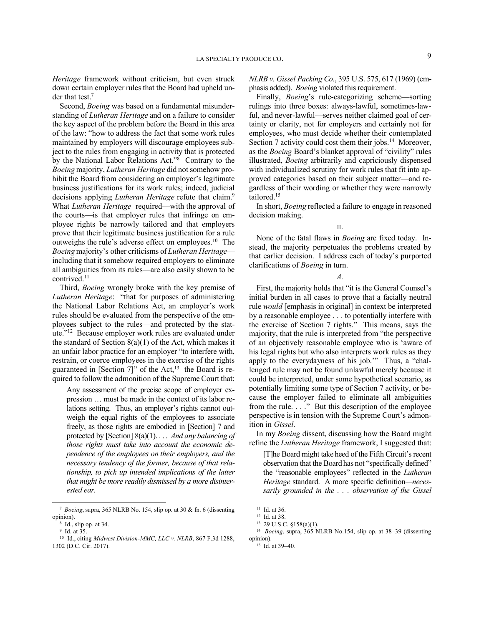*Heritage* framework without criticism, but even struck down certain employer rules that the Board had upheld under that test.<sup>7</sup>

Second, *Boeing* was based on a fundamental misunderstanding of *Lutheran Heritage* and on a failure to consider the key aspect of the problem before the Board in this area of the law: "how to address the fact that some work rules maintained by employers will discourage employees subject to the rules from engaging in activity that is protected by the National Labor Relations Act."<sup>8</sup> Contrary to the *Boeing* majority, *Lutheran Heritage* did not somehow prohibit the Board from considering an employer's legitimate business justifications for its work rules; indeed, judicial decisions applying *Lutheran Heritage* refute that claim.<sup>9</sup> What *Lutheran Heritage* required—with the approval of the courts—is that employer rules that infringe on employee rights be narrowly tailored and that employers prove that their legitimate business justification for a rule outweighs the rule's adverse effect on employees.<sup>10</sup> The *Boeing* majority's other criticisms of *Lutheran Heritage* including that it somehow required employers to eliminate all ambiguities from its rules—are also easily shown to be contrived.<sup>11</sup>

Third, *Boeing* wrongly broke with the key premise of *Lutheran Heritage*: "that for purposes of administering the National Labor Relations Act, an employer's work rules should be evaluated from the perspective of the employees subject to the rules—and protected by the statute."<sup>12</sup> Because employer work rules are evaluated under the standard of Section  $8(a)(1)$  of the Act, which makes it an unfair labor practice for an employer "to interfere with, restrain, or coerce employees in the exercise of the rights guaranteed in [Section 7]" of the Act,<sup>13</sup> the Board is required to follow the admonition of the Supreme Court that:

Any assessment of the precise scope of employer expression … must be made in the context of its labor relations setting. Thus, an employer's rights cannot outweigh the equal rights of the employees to associate freely, as those rights are embodied in [Section] 7 and protected by [Section] 8(a)(1). . . . *And any balancing of those rights must take into account the economic dependence of the employees on their employers, and the necessary tendency of the former, because of that relationship, to pick up intended implications of the latter that might be more readily dismissed by a more disinterested ear.*

-

*NLRB v. Gissel Packing Co.*, 395 U.S. 575, 617 (1969) (emphasis added). *Boeing* violated this requirement.

Finally, *Boeing*'s rule-categorizing scheme—sorting rulings into three boxes: always-lawful, sometimes-lawful, and never-lawful—serves neither claimed goal of certainty or clarity, not for employers and certainly not for employees, who must decide whether their contemplated Section 7 activity could cost them their jobs.<sup>14</sup> Moreover, as the *Boeing* Board's blanket approval of "civility" rules illustrated, *Boeing* arbitrarily and capriciously dispensed with individualized scrutiny for work rules that fit into approved categories based on their subject matter—and regardless of their wording or whether they were narrowly tailored.<sup>15</sup>

In short, *Boeing* reflected a failure to engage in reasoned decision making.

II.

None of the fatal flaws in *Boeing* are fixed today. Instead, the majority perpetuates the problems created by that earlier decision. I address each of today's purported clarifications of *Boeing* in turn.

*A.*

First, the majority holds that "it is the General Counsel's initial burden in all cases to prove that a facially neutral rule *would* [emphasis in original] in context be interpreted by a reasonable employee . . . to potentially interfere with the exercise of Section 7 rights." This means, says the majority, that the rule is interpreted from "the perspective of an objectively reasonable employee who is 'aware of his legal rights but who also interprets work rules as they apply to the everydayness of his job.'" Thus, a "challenged rule may not be found unlawful merely because it could be interpreted, under some hypothetical scenario, as potentially limiting some type of Section 7 activity, or because the employer failed to eliminate all ambiguities from the rule. . . ." But this description of the employee perspective is in tension with the Supreme Court's admonition in *Gissel*.

In my *Boeing* dissent, discussing how the Board might refine the *Lutheran Heritage* framework, I suggested that:

[T]he Board might take heed of the Fifth Circuit's recent observation that the Board has not "specifically defined" the "reasonable employees" reflected in the *Lutheran Heritage* standard. A more specific definition*—necessarily grounded in the . . . observation of the Gissel* 

<sup>7</sup> *Boeing*, supra, 365 NLRB No. 154, slip op. at 30 & fn. 6 (dissenting opinion).

<sup>8</sup> Id., slip op. at 34.

<sup>9</sup> Id. at 35.

<sup>10</sup> Id., citing *Midwest Division-MMC, LLC v. NLRB*, 867 F.3d 1288, 1302 (D.C. Cir. 2017).

<sup>&</sup>lt;sup>11</sup> Id. at 36.

<sup>12</sup> Id. at 38.

<sup>13</sup> 29 U.S.C. §158(a)(1).

<sup>14</sup> *Boeing*, supra, 365 NLRB No.154, slip op. at 38–39 (dissenting opinion).

<sup>15</sup> Id. at 39–40.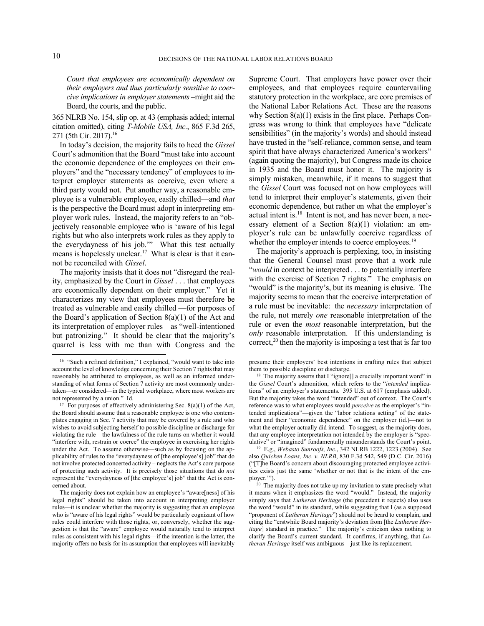*Court that employees are economically dependent on their employers and thus particularly sensitive to coercive implications in employer statements* –might aid the Board, the courts, and the public.

365 NLRB No. 154, slip op. at 43 (emphasis added; internal citation omitted), citing *T-Mobile USA, Inc.*, 865 F.3d 265, 271 (5th Cir. 2017).<sup>16</sup>

In today's decision, the majority fails to heed the *Gissel*  Court's admonition that the Board "must take into account the economic dependence of the employees on their employers" and the "necessary tendency" of employees to interpret employer statements as coercive, even where a third party would not. Put another way, a reasonable employee is a vulnerable employee, easily chilled—and *that* is the perspective the Board must adopt in interpreting employer work rules. Instead, the majority refers to an "objectively reasonable employee who is 'aware of his legal rights but who also interprets work rules as they apply to the everydayness of his job.'" What this test actually means is hopelessly unclear.<sup>17</sup> What is clear is that it cannot be reconciled with *Gissel*.

The majority insists that it does not "disregard the reality, emphasized by the Court in *Gissel* . . . that employees are economically dependent on their employer." Yet it characterizes my view that employees must therefore be treated as vulnerable and easily chilled —for purposes of the Board's application of Section  $8(a)(1)$  of the Act and its interpretation of employer rules—as "well-intentioned but patronizing." It should be clear that the majority's quarrel is less with me than with Congress and the

Supreme Court. That employers have power over their employees, and that employees require countervailing statutory protection in the workplace, are core premises of the National Labor Relations Act. These are the reasons why Section 8(a)(1) exists in the first place. Perhaps Congress was wrong to think that employees have "delicate sensibilities" (in the majority's words) and should instead have trusted in the "self-reliance, common sense, and team spirit that have always characterized America's workers" (again quoting the majority), but Congress made its choice in 1935 and the Board must honor it. The majority is simply mistaken, meanwhile, if it means to suggest that the *Gissel* Court was focused not on how employees will tend to interpret their employer's statements, given their economic dependence, but rather on what the employer's actual intent is.<sup>18</sup> Intent is not, and has never been, a necessary element of a Section 8(a)(1) violation: an employer's rule can be unlawfully coercive regardless of whether the employer intends to coerce employees.<sup>19</sup>

The majority's approach is perplexing, too, in insisting that the General Counsel must prove that a work rule "*would* in context be interpreted . . . to potentially interfere with the exercise of Section 7 rights." The emphasis on "would" is the majority's, but its meaning is elusive. The majority seems to mean that the coercive interpretation of a rule must be inevitable: the *necessary* interpretation of the rule, not merely *one* reasonable interpretation of the rule or even the *most* reasonable interpretation, but the *only* reasonable interpretation. If this understanding is correct, $20$  then the majority is imposing a test that is far too

-

<sup>16</sup> "Such a refined definition," I explained, "would want to take into account the level of knowledge concerning their Section 7 rights that may reasonably be attributed to employees, as well as an informed understanding of what forms of Section 7 activity are most commonly undertaken—or considered—in the typical workplace, where most workers are not represented by a union." Id.

<sup>&</sup>lt;sup>17</sup> For purposes of effectively administering Sec.  $8(a)(1)$  of the Act, the Board should assume that a reasonable employee is one who contemplates engaging in Sec. 7 activity that may be covered by a rule and who wishes to avoid subjecting herself to possible discipline or discharge for violating the rule—the lawfulness of the rule turns on whether it would "interfere with, restrain or coerce" the employee in exercising her rights under the Act. To assume otherwise—such as by focusing on the applicability of rules to the "everydayness of [the employee's] job" that do not involve protected concerted activity – neglects the Act's core purpose of protecting such activity. It is precisely those situations that do *not* represent the "everydayness of [the employee's] job" that the Act is concerned about.

The majority does not explain how an employee's "aware[ness] of his legal rights" should be taken into account in interpreting employer rules—it is unclear whether the majority is suggesting that an employee who is "aware of his legal rights" would be particularly cognizant of how rules could interfere with those rights, or, conversely, whether the suggestion is that the "aware" employee would naturally tend to interpret rules as consistent with his legal rights—if the intention is the latter, the majority offers no basis for its assumption that employees will inevitably

presume their employers' best intentions in crafting rules that subject them to possible discipline or discharge.

<sup>&</sup>lt;sup>18</sup> The majority asserts that I "ignore<sup>[]</sup> a crucially important word" in the *Gissel* Court's admonition, which refers to the "*intended* implications" of an employer's statements. 395 U.S. at 617 (emphasis added). But the majority takes the word "intended" out of context. The Court's reference was to what employees would *perceive* as the employer's "intended implications"—given the "labor relations setting" of the statement and their "economic dependence" on the employer (id.)—not to what the employer actually did intend. To suggest, as the majority does, that any employee interpretation not intended by the employer is "speculative" or "imagined" fundamentally misunderstands the Court's point.

<sup>19</sup> E.g., *Webasto Sunroofs, Inc.*, 342 NLRB 1222, 1223 (2004). See also *Quicken Loans, Inc. v. NLRB*, 830 F.3d 542, 549 (D.C. Cir. 2016) ("[T]he Board's concern about discouraging protected employee activities exists just the same 'whether or not that is the intent of the employer."").

<sup>&</sup>lt;sup>20</sup> The majority does not take up my invitation to state precisely what it means when it emphasizes the word "would." Instead, the majority simply says that *Lutheran Heritage* (the precedent it rejects) also uses the word "would" in its standard, while suggesting that I (as a supposed "proponent of *Lutheran Heritage*") should not be heard to complain, and citing the "erstwhile Board majority's deviation from [the *Lutheran Heritage*] standard in practice." The majority's criticism does nothing to clarify the Board's current standard. It confirms, if anything, that *Lutheran Heritage* itself was ambiguous—just like its replacement.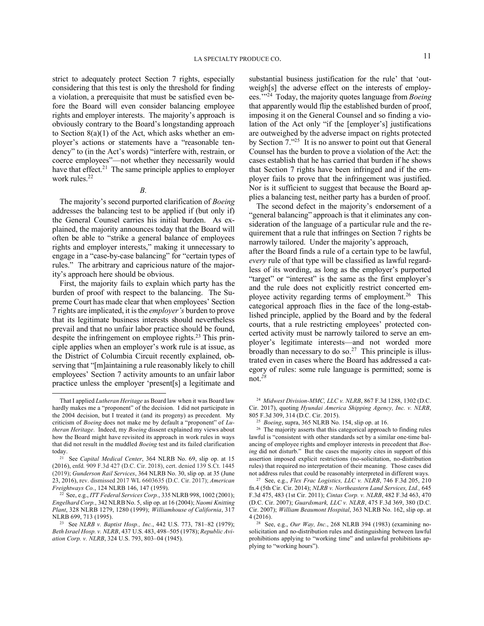strict to adequately protect Section 7 rights, especially considering that this test is only the threshold for finding a violation, a prerequisite that must be satisfied even before the Board will even consider balancing employee rights and employer interests. The majority's approach is obviously contrary to the Board's longstanding approach to Section 8(a)(1) of the Act, which asks whether an employer's actions or statements have a "reasonable tendency" to (in the Act's words) "interfere with, restrain, or coerce employees"—not whether they necessarily would have that effect.<sup>21</sup> The same principle applies to employer work rules.<sup>22</sup>

*B.*

The majority's second purported clarification of *Boeing* addresses the balancing test to be applied if (but only if) the General Counsel carries his initial burden. As explained, the majority announces today that the Board will often be able to "strike a general balance of employees rights and employer interests," making it unnecessary to engage in a "case-by-case balancing" for "certain types of rules." The arbitrary and capricious nature of the majority's approach here should be obvious.

First, the majority fails to explain which party has the burden of proof with respect to the balancing. The Supreme Court has made clear that when employees' Section 7 rights are implicated, it is the *employer's* burden to prove that its legitimate business interests should nevertheless prevail and that no unfair labor practice should be found, despite the infringement on employee rights.<sup>23</sup> This principle applies when an employer's work rule is at issue, as the District of Columbia Circuit recently explained, observing that "[m]aintaining a rule reasonably likely to chill employees' Section 7 activity amounts to an unfair labor practice unless the employer 'present[s] a legitimate and

-

substantial business justification for the rule' that 'outweigh[s] the adverse effect on the interests of employees.'"<sup>24</sup> Today, the majority quotes language from *Boeing* that apparently would flip the established burden of proof, imposing it on the General Counsel and so finding a violation of the Act only "if the [employer's] justifications are outweighed by the adverse impact on rights protected by Section 7.<sup>25</sup> It is no answer to point out that General Counsel has the burden to prove a violation of the Act: the cases establish that he has carried that burden if he shows that Section 7 rights have been infringed and if the employer fails to prove that the infringement was justified. Nor is it sufficient to suggest that because the Board applies a balancing test, neither party has a burden of proof.

The second defect in the majority's endorsement of a "general balancing" approach is that it eliminates any consideration of the language of a particular rule and the requirement that a rule that infringes on Section 7 rights be narrowly tailored. Under the majority's approach, after the Board finds a rule of a certain type to be lawful, *every* rule of that type will be classified as lawful regardless of its wording, as long as the employer's purported "target" or "interest" is the same as the first employer's and the rule does not explicitly restrict concerted employee activity regarding terms of employment.<sup>26</sup> This categorical approach flies in the face of the long-established principle, applied by the Board and by the federal courts, that a rule restricting employees' protected concerted activity must be narrowly tailored to serve an employer's legitimate interests—and not worded more broadly than necessary to do so. $27$  This principle is illustrated even in cases where the Board has addressed a category of rules: some rule language is permitted; some is not.*<sup>28</sup>*

<sup>24</sup> *Midwest Division-MMC, LLC v. NLRB*, 867 F.3d 1288, 1302 (D.C. Cir. 2017), quoting *Hyundai America Shipping Agency, Inc. v. NLRB*, 805 F.3d 309, 314 (D.C. Cir. 2015).

<sup>26</sup> The majority asserts that this categorical approach to finding rules lawful is "consistent with other standards set by a similar one-time balancing of employee rights and employer interests in precedent that *Boeing* did not disturb." But the cases the majority cites in support of this assertion imposed explicit restrictions (no-solicitation, no-distribution rules) that required no interpretation of their meaning. Those cases did not address rules that could be reasonably interpreted in different ways.

That I applied *Lutheran Heritage* as Board law when it was Board law hardly makes me a "proponent" of the decision. I did not participate in the 2004 decision, but I treated it (and its progeny) as precedent. My criticism of *Boeing* does not make me by default a "proponent" of *Lutheran Heritage*. Indeed, my *Boeing* dissent explained my views about how the Board might have revisited its approach in work rules in ways that did not result in the muddled *Boeing* test and its failed clarification today.

<sup>21</sup> See *Capital Medical Center*, 364 NLRB No. 69, slip op. at 15 (2016), enfd*.* 909 F.3d 427 (D.C. Cir. 2018), cert. denied 139 S.Ct. 1445 (2019); *Gunderson Rail Services*, 364 NLRB No. 30, slip op. at 35 (June 23, 2016), rev. dismissed 2017 WL 6603635 (D.C. Cir. 2017); *American Freightways Co.*, 124 NLRB 146, 147 (1959).

<sup>22</sup> See, e.g., *ITT Federal Services Corp.*, 335 NLRB 998, 1002 (2001); *Engelhard Corp.*, 342 NLRB No. 5, slip op. at 16 (2004); *Naomi Knitting Plant*, 328 NLRB 1279, 1280 (1999); *Williamhouse of California*, 317 NLRB 699, 713 (1995).

<sup>23</sup> See *NLRB v. Baptist Hosp., Inc.*, 442 U.S. 773, 781–82 (1979); *Beth Israel Hosp. v. NLRB*, 437 U.S. 483, 498–505 (1978); *Republic Aviation Corp. v. NLRB*, 324 U.S. 793, 803–04 (1945).

<sup>25</sup> *Boeing*, supra, 365 NLRB No. 154, slip op. at 16.

<sup>27</sup> See, e.g., *Flex Frac Logistics, LLC v. NLRB*, 746 F.3d 205, 210 fn.4 (5th Cir. Cir. 2014); *NLRB v. Northeastern Land Services, Ltd.,* 645 F.3d 475, 483 (1st Cir. 2011); *Cintas Corp. v. NLRB*, 482 F.3d 463, 470 (D.C. Cir. 2007); *Guardsmark, LLC v. NLRB*, 475 F.3d 369, 380 (D.C. Cir. 2007); *William Beaumont Hospital*, 363 NLRB No. 162, slip op. at 4 (2016).

<sup>28</sup> See, e.g., *Our Way, Inc.*, 268 NLRB 394 (1983) (examining nosolicitation and no-distribution rules and distinguishing between lawful prohibitions applying to "working time" and unlawful prohibitions applying to "working hours").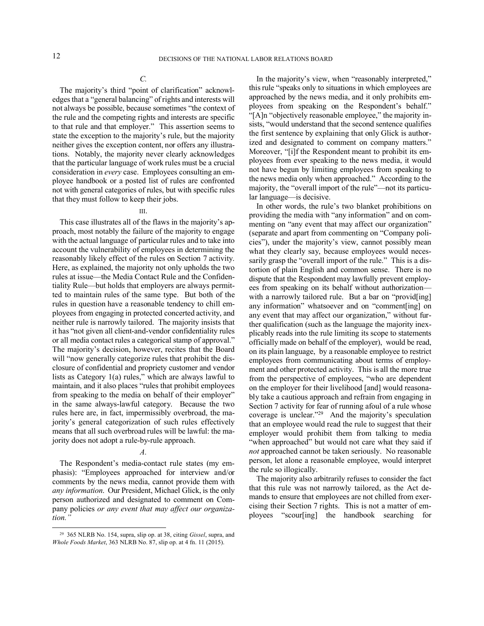# *C.*

The majority's third "point of clarification" acknowledges that a "general balancing" of rights and interests will not always be possible, because sometimes "the context of the rule and the competing rights and interests are specific to that rule and that employer." This assertion seems to state the exception to the majority's rule, but the majority neither gives the exception content, nor offers any illustrations. Notably, the majority never clearly acknowledges that the particular language of work rules must be a crucial consideration in *every* case. Employees consulting an employee handbook or a posted list of rules are confronted not with general categories of rules, but with specific rules that they must follow to keep their jobs.

## III.

This case illustrates all of the flaws in the majority's approach, most notably the failure of the majority to engage with the actual language of particular rules and to take into account the vulnerability of employees in determining the reasonably likely effect of the rules on Section 7 activity. Here, as explained, the majority not only upholds the two rules at issue—the Media Contact Rule and the Confidentiality Rule—but holds that employers are always permitted to maintain rules of the same type. But both of the rules in question have a reasonable tendency to chill employees from engaging in protected concerted activity, and neither rule is narrowly tailored. The majority insists that it has "not given all client-and-vendor confidentiality rules or all media contact rules a categorical stamp of approval." The majority's decision, however, recites that the Board will "now generally categorize rules that prohibit the disclosure of confidential and propriety customer and vendor lists as Category 1(a) rules," which are always lawful to maintain, and it also places "rules that prohibit employees from speaking to the media on behalf of their employer" in the same always-lawful category. Because the two rules here are, in fact, impermissibly overbroad, the majority's general categorization of such rules effectively means that all such overbroad rules will be lawful: the majority does not adopt a rule-by-rule approach.

## *A.*

The Respondent's media-contact rule states (my emphasis): "Employees approached for interview and/or comments by the news media, cannot provide them with *any information*. Our President, Michael Glick, is the only person authorized and designated to comment on Company policies *or any event that may affect our organization."*

-

In the majority's view, when "reasonably interpreted," this rule "speaks only to situations in which employees are approached by the news media, and it only prohibits employees from speaking on the Respondent's behalf." "[A]n "objectively reasonable employee," the majority insists, "would understand that the second sentence qualifies the first sentence by explaining that only Glick is authorized and designated to comment on company matters." Moreover, "[i]f the Respondent meant to prohibit its employees from ever speaking to the news media, it would not have begun by limiting employees from speaking to the news media only when approached." According to the majority, the "overall import of the rule"—not its particular language—is decisive.

In other words, the rule's two blanket prohibitions on providing the media with "any information" and on commenting on "any event that may affect our organization" (separate and apart from commenting on "Company policies"), under the majority's view, cannot possibly mean what they clearly say, because employees would necessarily grasp the "overall import of the rule." This is a distortion of plain English and common sense. There is no dispute that the Respondent may lawfully prevent employees from speaking on its behalf without authorization with a narrowly tailored rule. But a bar on "provid[ing] any information" whatsoever and on "comment[ing] on any event that may affect our organization," without further qualification (such as the language the majority inexplicably reads into the rule limiting its scope to statements officially made on behalf of the employer), would be read, on its plain language, by a reasonable employee to restrict employees from communicating about terms of employment and other protected activity. This is all the more true from the perspective of employees, "who are dependent on the employer for their livelihood [and] would reasonably take a cautious approach and refrain from engaging in Section 7 activity for fear of running afoul of a rule whose coverage is unclear."<sup>29</sup> And the majority's speculation that an employee would read the rule to suggest that their employer would prohibit them from talking to media "when approached" but would not care what they said if *not* approached cannot be taken seriously. No reasonable person, let alone a reasonable employee, would interpret the rule so illogically.

The majority also arbitrarily refuses to consider the fact that this rule was not narrowly tailored, as the Act demands to ensure that employees are not chilled from exercising their Section 7 rights. This is not a matter of employees "scour[ing] the handbook searching for

<sup>29</sup> 365 NLRB No. 154, supra, slip op. at 38, citing *Gissel*, supra, and *Whole Foods Market*, 363 NLRB No. 87, slip op. at 4 fn. 11 (2015).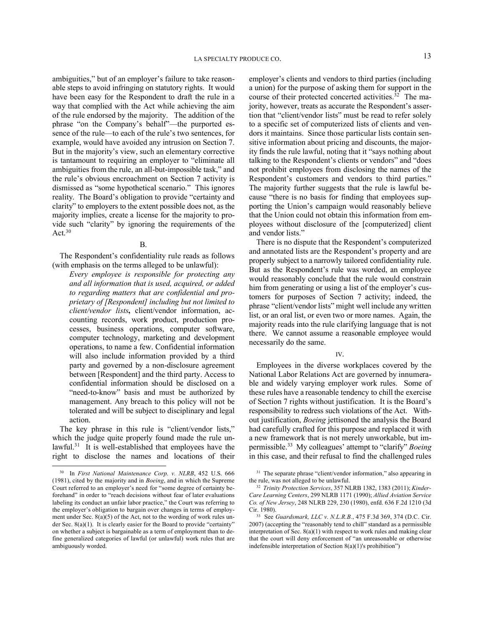ambiguities," but of an employer's failure to take reasonable steps to avoid infringing on statutory rights. It would have been easy for the Respondent to draft the rule in a way that complied with the Act while achieving the aim of the rule endorsed by the majority. The addition of the phrase "on the Company's behalf"—the purported essence of the rule—to each of the rule's two sentences, for example, would have avoided any intrusion on Section 7. But in the majority's view, such an elementary corrective is tantamount to requiring an employer to "eliminate all ambiguities from the rule, an all-but-impossible task," and the rule's obvious encroachment on Section 7 activity is dismissed as "some hypothetical scenario." This ignores reality. The Board's obligation to provide "certainty and clarity" to employers to the extent possible does not, as the majority implies, create a license for the majority to provide such "clarity" by ignoring the requirements of the Act. $30$ 

### B.

The Respondent's confidentiality rule reads as follows (with emphasis on the terms alleged to be unlawful):

*Every employee is responsible for protecting any and all information that is used, acquired, or added to regarding matters that are confidential and proprietary of [Respondent] including but not limited to client/vendor lists***,** client/vendor information, accounting records, work product, production processes, business operations, computer software, computer technology, marketing and development operations, to name a few. Confidential information will also include information provided by a third party and governed by a non-disclosure agreement between [Respondent] and the third party. Access to confidential information should be disclosed on a "need-to-know" basis and must be authorized by management. Any breach to this policy will not be tolerated and will be subject to disciplinary and legal action.

The key phrase in this rule is "client/vendor lists," which the judge quite properly found made the rule unlawful.<sup>31</sup> It is well-established that employees have the right to disclose the names and locations of their

-

employer's clients and vendors to third parties (including a union) for the purpose of asking them for support in the course of their protected concerted activities.<sup>32</sup> The majority, however, treats as accurate the Respondent's assertion that "client/vendor lists" must be read to refer solely to a specific set of computerized lists of clients and vendors it maintains. Since those particular lists contain sensitive information about pricing and discounts, the majority finds the rule lawful, noting that it "says nothing about talking to the Respondent's clients or vendors" and "does not prohibit employees from disclosing the names of the Respondent's customers and vendors to third parties." The majority further suggests that the rule is lawful because "there is no basis for finding that employees supporting the Union's campaign would reasonably believe that the Union could not obtain this information from employees without disclosure of the [computerized] client and vendor lists."

There is no dispute that the Respondent's computerized and annotated lists are the Respondent's property and are properly subject to a narrowly tailored confidentiality rule. But as the Respondent's rule was worded, an employee would reasonably conclude that the rule would constrain him from generating or using a list of the employer's customers for purposes of Section 7 activity; indeed, the phrase "client/vendor lists" might well include any written list, or an oral list, or even two or more names. Again, the majority reads into the rule clarifying language that is not there. We cannot assume a reasonable employee would necessarily do the same.

#### IV.

Employees in the diverse workplaces covered by the National Labor Relations Act are governed by innumerable and widely varying employer work rules. Some of these rules have a reasonable tendency to chill the exercise of Section 7 rights without justification. It is the Board's responsibility to redress such violations of the Act. Without justification, *Boeing* jettisoned the analysis the Board had carefully crafted for this purpose and replaced it with a new framework that is not merely unworkable, but impermissible.<sup>33</sup> My colleagues' attempt to "clarify" *Boeing* in this case, and their refusal to find the challenged rules

<sup>30</sup> In *First National Maintenance Corp. v. NLRB*, 452 U.S. 666 (1981), cited by the majority and in *Boeing*, and in which the Supreme Court referred to an employer's need for "some degree of certainty beforehand" in order to "reach decisions without fear of later evaluations labeling its conduct an unfair labor practice," the Court was referring to the employer's obligation to bargain over changes in terms of employment under Sec. 8(a)(5) of the Act, not to the wording of work rules under Sec. 8(a)(1). It is clearly easier for the Board to provide "certainty" on whether a subject is bargainable as a term of employment than to define generalized categories of lawful (or unlawful) work rules that are ambiguously worded.

<sup>&</sup>lt;sup>31</sup> The separate phrase "client/vendor information," also appearing in the rule, was not alleged to be unlawful.

<sup>32</sup> *Trinity Protection Services*, 357 NLRB 1382, 1383 (2011); *Kinder-Care Learning Centers*, 299 NLRB 1171 (1990); *Allied Aviation Service Co. of New Jersey*, 248 NLRB 229, 230 (1980), enfd. 636 F.2d 1210 (3d Cir. 1980).

<sup>33</sup> See *Guardsmark, LLC v. N.L.R.B.*, 475 F.3d 369, 374 (D.C. Cir. 2007) (accepting the "reasonably tend to chill" standard as a permissible interpretation of Sec. 8(a)(1) with respect to work rules and making clear that the court will deny enforcement of "an unreasonable or otherwise indefensible interpretation of Section 8(a)(1)'s prohibition")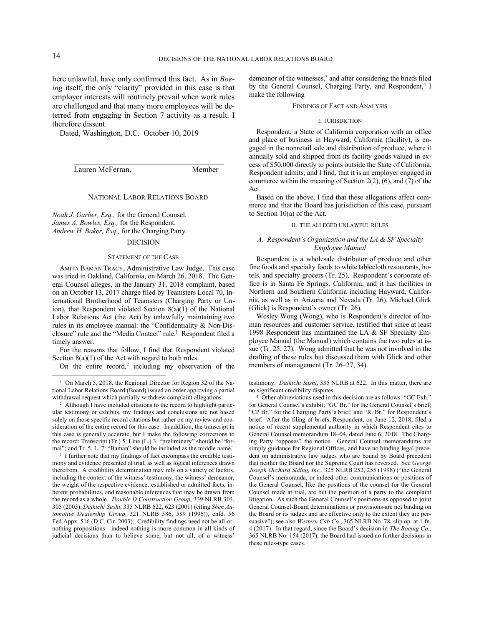-

here unlawful, have only confirmed this fact. As in *Boeing* itself, the only "clarity" provided in this case is that employer interests will routinely prevail when work rules are challenged and that many more employees will be deterred from engaging in Section 7 activity as a result. I therefore dissent.

Dated, Washington, D.C. October 10, 2019

Lauren McFerran, Member

#### NATIONAL LABOR RELATIONS BOARD

\_\_\_\_\_\_\_\_\_\_\_\_\_\_\_\_\_\_\_\_\_\_\_\_\_\_\_\_\_\_\_\_\_\_\_\_\_\_

*Noah J. Garber, Esq.,* for the General Counsel. *James A. Bowles, Esq.,* for the Respondent*. Andrew H. Baker, Esq.,* for the Charging Party*.*

## DECISION

#### STATEMENT OF THE CASE

AMITA BAMAN TRACY, Administrative Law Judge. This case was tried in Oakland, California, on March 26, 2018. The General Counsel alleges, in the January 31, 2018 complaint, based on an October 13, 2017 charge filed by Teamsters Local 70, International Brotherhood of Teamsters (Charging Party or Union), that Respondent violated Section 8(a)(1) of the National Labor Relations Act (the Act) by unlawfully maintaining two rules in its employee manual: the "Confidentiality & Non-Disclosure" rule and the "Media Contact" rule.<sup>1</sup> Respondent filed a timely answer.

For the reasons that follow, I find that Respondent violated Section  $8(a)(1)$  of the Act with regard to both rules.

On the entire record,<sup>2</sup> including my observation of the

demeanor of the witnesses,<sup>3</sup> and after considering the briefs filed by the General Counsel, Charging Party, and Respondent,<sup>4</sup> I make the following

#### FINDINGS OF FACT AND ANALYSIS

#### I. JURISDICTION

Respondent, a State of California corporation with an office and place of business in Hayward, California (facility), is engaged in the nonretail sale and distribution of produce, where it annually sold and shipped from its facility goods valued in excess of \$50,000 directly to points outside the State of California. Respondent admits, and I find, that it is an employer engaged in commerce within the meaning of Section 2(2), (6), and (7) of the Act.

Based on the above, I find that these allegations affect commerce and that the Board has jurisdiction of this case, pursuant to Section 10(a) of the Act.

### II. THE ALLEGED UNLAWFUL RULES

## *A. Respondent's Organization and the LA & SF Specialty Employee Manual*

Respondent is a wholesale distributor of produce and other fine foods and specialty foods to white tablecloth restaurants, hotels, and specialty grocers (Tr. 25). Respondent's corporate office is in Santa Fe Springs, California, and it has facilities in Northern and Southern California including Hayward, California, as well as in Arizona and Nevada (Tr. 26). Michael Glick (Glick) is Respondent's owner (Tr. 26).

Wesley Wong (Wong), who is Respondent's director of human resources and customer service, testified that since at least 1998 Respondent has maintained the LA & SF Specialty Employee Manual (the Manual) which contains the two rules at issue (Tr. 25, 27). Wong admitted that he was not involved in the drafting of these rules but discussed them with Glick and other members of management (Tr. 26–27, 34).

testimony. *Daikichi Sushi*, 335 NLRB at 622. In this matter, there are no significant credibility disputes.

4 Other abbreviations used in this decision are as follows: "GC Exh." for General Counsel's exhibit; "GC Br." for the General Counsel's brief; "CP Br." for the Charging Party's brief; and "R. Br." for Respondent's brief. After the filing of briefs, Respondent, on June 12, 2018, filed a notice of recent supplemental authority in which Respondent cites to General Counsel memorandum 18–04, dated June 6, 2018. The Charging Party "opposes" the notice. General Counsel memorandums are simply guidance for Regional Offices, and have no binding legal precedent on administrative law judges who are bound by Board precedent that neither the Board nor the Supreme Court has reversed. See *George Joseph Orchard Siding, Inc.*, 325 NLRB 252, 255 (1998) ("the General Counsel's memoranda, or indeed other communications or positions of the General Counsel, like the positions of the counsel for the General Counsel made at trial, are but the position of a party to the complaint litigation. As such the General Counsel's positions-as opposed to joint General Counsel-Board determinations or provisions-are not binding on the Board or its judges and are effective only to the extent they are persuasive"); see also *Western Cab Co*., 365 NLRB No. 78, slip op. at 1 fn. 4 (2017). In that regard, since the Board's decision in *The Boeing Co.*, 365 NLRB No. 154 (2017), the Board had issued no further decisions in these rules-type cases.

<sup>&</sup>lt;sup>1</sup> On March 5, 2018, the Regional Director for Region 32 of the National Labor Relations Board (Board) issued an order approving a partial withdrawal request which partially withdrew complaint allegations.

<sup>&</sup>lt;sup>2</sup> Although I have included citations to the record to highlight particular testimony or exhibits, my findings and conclusions are not based solely on those specific record citations but rather on my review and consideration of the entire record for this case. In addition, the transcript in this case is generally accurate, but I make the following corrections to the record: Transcript (Tr.) 5, Line (L.) 3: "preliminary" should be "formal"; and Tr. 5, L. 7: "Baman" should be included as the middle name.

<sup>&</sup>lt;sup>3</sup> I further note that my findings of fact encompass the credible testimony and evidence presented at trial, as well as logical inferences drawn therefrom. A credibility determination may rely on a variety of factors, including the context of the witness' testimony, the witness' demeanor, the weight of the respective evidence, established or admitted facts, inherent probabilities, and reasonable inferences that may be drawn from the record as a whole. *Double D Construction Group*, 339 NLRB 303, 305 (2003); *Daikichi Sushi*, 335 NLRB 622, 623 (2001) (citing *Shen Automotive Dealership Group*, 321 NLRB 586, 589 (1996)), enfd. 56 Fed.Appx. 516 (D.C. Cir. 2003). Credibility findings need not be all-ornothing propositions—indeed nothing is more common in all kinds of judicial decisions than to believe some, but not all, of a witness'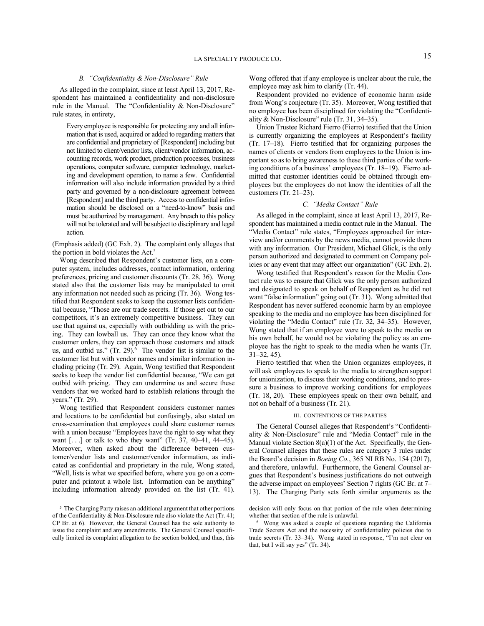#### *B. "Confidentiality & Non-Disclosure" Rule*

As alleged in the complaint, since at least April 13, 2017, Respondent has maintained a confidentiality and non-disclosure rule in the Manual. The "Confidentiality & Non-Disclosure" rule states, in entirety,

Every employee is responsible for protecting any and all information that is used, acquired or added to regarding matters that are confidential and proprietary of [Respondent] including but not limited to client/vendor lists, client/vendor information, accounting records, work product, production processes, business operations, computer software, computer technology, marketing and development operation, to name a few. Confidential information will also include information provided by a third party and governed by a non-disclosure agreement between [Respondent] and the third party. Access to confidential information should be disclosed on a "need-to-know" basis and must be authorized by management. Any breach to this policy will not be tolerated and will be subject to disciplinary and legal action.

(Emphasis added) (GC Exh. 2). The complaint only alleges that the portion in bold violates the Act.<sup>5</sup>

Wong described that Respondent's customer lists, on a computer system, includes addresses, contact information, ordering preferences, pricing and customer discounts (Tr. 28, 36). Wong stated also that the customer lists may be manipulated to omit any information not needed such as pricing (Tr. 36). Wong testified that Respondent seeks to keep the customer lists confidential because, "Those are our trade secrets. If those get out to our competitors, it's an extremely competitive business. They can use that against us, especially with outbidding us with the pricing. They can lowball us. They can once they know what the customer orders, they can approach those customers and attack us, and outbid us."  $(Tr. 29)^6$  The vendor list is similar to the customer list but with vendor names and similar information including pricing (Tr. 29). Again, Wong testified that Respondent seeks to keep the vendor list confidential because, "We can get outbid with pricing. They can undermine us and secure these vendors that we worked hard to establish relations through the years." (Tr. 29).

Wong testified that Respondent considers customer names and locations to be confidential but confusingly, also stated on cross-examination that employees could share customer names with a union because "Employees have the right to say what they want  $[...]$  or talk to who they want" (Tr. 37, 40–41, 44–45). Moreover, when asked about the difference between customer/vendor lists and customer/vendor information, as indicated as confidential and proprietary in the rule, Wong stated, "Well, lists is what we specified before, where you go on a computer and printout a whole list. Information can be anything" including information already provided on the list (Tr. 41).

-

Wong offered that if any employee is unclear about the rule, the employee may ask him to clarify (Tr. 44).

Respondent provided no evidence of economic harm aside from Wong's conjecture (Tr. 35). Moreover, Wong testified that no employee has been disciplined for violating the "Confidentiality & Non-Disclosure" rule (Tr. 31, 34–35).

Union Trustee Richard Fierro (Fierro) testified that the Union is currently organizing the employees at Respondent's facility (Tr. 17–18). Fierro testified that for organizing purposes the names of clients or vendors from employees to the Union is important so as to bring awareness to these third parties of the working conditions of a business' employees (Tr. 18–19). Fierro admitted that customer identities could be obtained through employees but the employees do not know the identities of all the customers (Tr. 21–23).

### *C. "Media Contact" Rule*

As alleged in the complaint, since at least April 13, 2017, Respondent has maintained a media contact rule in the Manual. The "Media Contact" rule states, "Employees approached for interview and/or comments by the news media, cannot provide them with any information. Our President, Michael Glick, is the only person authorized and designated to comment on Company policies or any event that may affect our organization" (GC Exh. 2).

Wong testified that Respondent's reason for the Media Contact rule was to ensure that Glick was the only person authorized and designated to speak on behalf of Respondent as he did not want "false information" going out (Tr. 31). Wong admitted that Respondent has never suffered economic harm by an employee speaking to the media and no employee has been disciplined for violating the "Media Contact" rule (Tr. 32, 34–35). However, Wong stated that if an employee were to speak to the media on his own behalf, he would not be violating the policy as an employee has the right to speak to the media when he wants (Tr. 31–32, 45).

Fierro testified that when the Union organizes employees, it will ask employees to speak to the media to strengthen support for unionization, to discuss their working conditions, and to pressure a business to improve working conditions for employees (Tr. 18, 20). These employees speak on their own behalf, and not on behalf of a business (Tr. 21).

### III. CONTENTIONS OF THE PARTIES

The General Counsel alleges that Respondent's "Confidentiality & Non-Disclosure" rule and "Media Contact" rule in the Manual violate Section 8(a)(1) of the Act. Specifically, the General Counsel alleges that these rules are category 3 rules under the Board's decision in *Boeing Co.*, 365 NLRB No. 154 (2017), and therefore, unlawful. Furthermore, the General Counsel argues that Respondent's business justifications do not outweigh the adverse impact on employees' Section 7 rights (GC Br. at 7– 13). The Charging Party sets forth similar arguments as the

<sup>&</sup>lt;sup>5</sup> The Charging Party raises an additional argument that other portions of the Confidentiality & Non-Disclosure rule also violate the Act (Tr. 41; CP Br. at 6). However, the General Counsel has the sole authority to issue the complaint and any amendments. The General Counsel specifically limited its complaint allegation to the section bolded, and thus, this

decision will only focus on that portion of the rule when determining whether that section of the rule is unlawful.

<sup>6</sup> Wong was asked a couple of questions regarding the California Trade Secrets Act and the necessity of confidentiality policies due to trade secrets (Tr. 33–34). Wong stated in response, "I'm not clear on that, but I will say yes" (Tr. 34).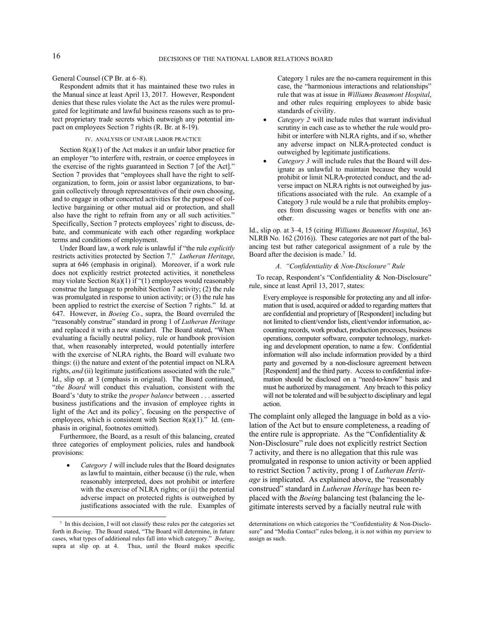## General Counsel (CP Br. at 6–8).

Respondent admits that it has maintained these two rules in the Manual since at least April 13, 2017. However, Respondent denies that these rules violate the Act as the rules were promulgated for legitimate and lawful business reasons such as to protect proprietary trade secrets which outweigh any potential impact on employees Section 7 rights (R. Br. at 8-19).

## IV. ANALYSIS OF UNFAIR LABOR PRACTICE

Section  $8(a)(1)$  of the Act makes it an unfair labor practice for an employer "to interfere with, restrain, or coerce employees in the exercise of the rights guaranteed in Section 7 [of the Act]." Section 7 provides that "employees shall have the right to selforganization, to form, join or assist labor organizations, to bargain collectively through representatives of their own choosing, and to engage in other concerted activities for the purpose of collective bargaining or other mutual aid or protection, and shall also have the right to refrain from any or all such activities." Specifically, Section 7 protects employees' right to discuss, debate, and communicate with each other regarding workplace terms and conditions of employment.

Under Board law, a work rule is unlawful if "the rule *explicitly* restricts activities protected by Section 7." *Lutheran Heritage*, supra at 646 (emphasis in original). Moreover, if a work rule does not explicitly restrict protected activities, it nonetheless may violate Section  $8(a)(1)$  if "(1) employees would reasonably construe the language to prohibit Section 7 activity; (2) the rule was promulgated in response to union activity; or (3) the rule has been applied to restrict the exercise of Section 7 rights." Id. at 647. However, in *Boeing Co.*, supra, the Board overruled the "reasonably construe" standard in prong 1 of *Lutheran Heritage* and replaced it with a new standard. The Board stated, "When evaluating a facially neutral policy, rule or handbook provision that, when reasonably interpreted, would potentially interfere with the exercise of NLRA rights, the Board will evaluate two things: (i) the nature and extent of the potential impact on NLRA rights, *and* (ii) legitimate justifications associated with the rule." Id., slip op. at 3 (emphasis in original). The Board continued, "*the Board* will conduct this evaluation, consistent with the Board's 'duty to strike the *proper balance* between . . . asserted business justifications and the invasion of employee rights in light of the Act and its policy', focusing on the perspective of employees, which is consistent with Section 8(a)(1)." Id. (emphasis in original, footnotes omitted).

Furthermore, the Board, as a result of this balancing, created three categories of employment policies, rules and handbook provisions:

 *Category 1* will include rules that the Board designates as lawful to maintain, either because (i) the rule, when reasonably interpreted, does not prohibit or interfere with the exercise of NLRA rights; or (ii) the potential adverse impact on protected rights is outweighed by justifications associated with the rule. Examples of

-

Category 1 rules are the no-camera requirement in this case, the "harmonious interactions and relationships" rule that was at issue in *Williams Beaumont Hospital*, and other rules requiring employees to abide basic standards of civility.

- *Category 2* will include rules that warrant individual scrutiny in each case as to whether the rule would prohibit or interfere with NLRA rights, and if so, whether any adverse impact on NLRA-protected conduct is outweighed by legitimate justifications.
- *Category 3* will include rules that the Board will designate as unlawful to maintain because they would prohibit or limit NLRA-protected conduct, and the adverse impact on NLRA rights is not outweighed by justifications associated with the rule. An example of a Category 3 rule would be a rule that prohibits employees from discussing wages or benefits with one another.

Id., slip op. at 3–4, 15 (citing *Williams Beaumont Hospital*, 363 NLRB No. 162 (2016)). These categories are not part of the balancing test but rather categorical assignment of a rule by the Board after the decision is made.<sup>7</sup> Id.

## *A. "Confidentiality & Non-Disclosure" Rule*

To recap, Respondent's "Confidentiality & Non-Disclosure" rule, since at least April 13, 2017, states:

Every employee is responsible for protecting any and all information that is used, acquired or added to regarding matters that are confidential and proprietary of [Respondent] including but not limited to client/vendor lists, client/vendor information, accounting records, work product, production processes, business operations, computer software, computer technology, marketing and development operation, to name a few. Confidential information will also include information provided by a third party and governed by a non-disclosure agreement between [Respondent] and the third party. Access to confidential information should be disclosed on a "need-to-know" basis and must be authorized by management. Any breach to this policy will not be tolerated and will be subject to disciplinary and legal action.

The complaint only alleged the language in bold as a violation of the Act but to ensure completeness, a reading of the entire rule is appropriate. As the "Confidentiality & Non-Disclosure" rule does not explicitly restrict Section 7 activity, and there is no allegation that this rule was promulgated in response to union activity or been applied to restrict Section 7 activity, prong 1 of *Lutheran Heritage* is implicated. As explained above, the "reasonably construed" standard in *Lutheran Heritage* has been replaced with the *Boeing* balancing test (balancing the legitimate interests served by a facially neutral rule with

<sup>7</sup> In this decision, I will not classify these rules per the categories set forth in *Boeing*. The Board stated, "The Board will determine, in future cases, what types of additional rules fall into which category." *Boeing*, supra at slip op. at 4. Thus, until the Board makes specific

determinations on which categories the "Confidentiality & Non-Disclosure" and "Media Contact" rules belong, it is not within my purview to assign as such.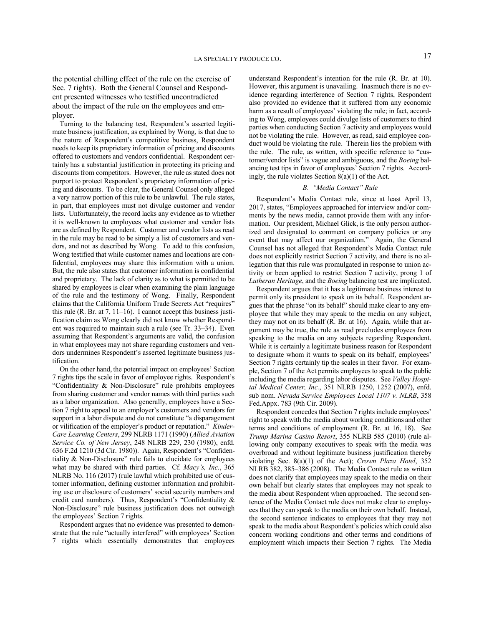the potential chilling effect of the rule on the exercise of Sec. 7 rights). Both the General Counsel and Respondent presented witnesses who testified uncontradicted about the impact of the rule on the employees and employer.

Turning to the balancing test, Respondent's asserted legitimate business justification, as explained by Wong, is that due to the nature of Respondent's competitive business, Respondent needs to keep its proprietary information of pricing and discounts offered to customers and vendors confidential. Respondent certainly has a substantial justification in protecting its pricing and discounts from competitors. However, the rule as stated does not purport to protect Respondent's proprietary information of pricing and discounts. To be clear, the General Counsel only alleged a very narrow portion of this rule to be unlawful. The rule states, in part, that employees must not divulge customer and vendor lists. Unfortunately, the record lacks any evidence as to whether it is well-known to employees what customer and vendor lists are as defined by Respondent. Customer and vendor lists as read in the rule may be read to be simply a list of customers and vendors, and not as described by Wong. To add to this confusion, Wong testified that while customer names and locations are confidential, employees may share this information with a union. But, the rule also states that customer information is confidential and proprietary. The lack of clarity as to what is permitted to be shared by employees is clear when examining the plain language of the rule and the testimony of Wong. Finally, Respondent claims that the California Uniform Trade Secrets Act "requires" this rule (R. Br. at 7, 11–16). I cannot accept this business justification claim as Wong clearly did not know whether Respondent was required to maintain such a rule (see Tr. 33–34). Even assuming that Respondent's arguments are valid, the confusion in what employees may not share regarding customers and vendors undermines Respondent's asserted legitimate business justification.

On the other hand, the potential impact on employees' Section 7 rights tips the scale in favor of employee rights. Respondent's "Confidentiality & Non-Disclosure" rule prohibits employees from sharing customer and vendor names with third parties such as a labor organization. Also generally, employees have a Section 7 right to appeal to an employer's customers and vendors for support in a labor dispute and do not constitute "a disparagement or vilification of the employer's product or reputation." *Kinder-Care Learning Centers*, 299 NLRB 1171 (1990) (*Allied Aviation Service Co. of New Jersey*, 248 NLRB 229, 230 (1980), enfd. 636 F.2d 1210 (3d Cir. 1980)). Again, Respondent's "Confidentiality & Non-Disclosure" rule fails to elucidate for employees what may be shared with third parties. Cf. *Macy's, Inc.*, 365 NLRB No. 116 (2017) (rule lawful which prohibited use of customer information, defining customer information and prohibiting use or disclosure of customers' social security numbers and credit card numbers). Thus, Respondent's "Confidentiality & Non-Disclosure" rule business justification does not outweigh the employees' Section 7 rights.

Respondent argues that no evidence was presented to demonstrate that the rule "actually interfered" with employees' Section 7 rights which essentially demonstrates that employees understand Respondent's intention for the rule (R. Br. at 10). However, this argument is unavailing. Inasmuch there is no evidence regarding interference of Section 7 rights, Respondent also provided no evidence that it suffered from any economic harm as a result of employees' violating the rule; in fact, according to Wong, employees could divulge lists of customers to third parties when conducting Section 7 activity and employees would not be violating the rule. However, as read, said employee conduct would be violating the rule. Therein lies the problem with the rule. The rule, as written, with specific reference to "customer/vendor lists" is vague and ambiguous, and the *Boeing* balancing test tips in favor of employees' Section 7 rights. Accordingly, the rule violates Section 8(a)(1) of the Act.

### *B. "Media Contact" Rule*

Respondent's Media Contact rule, since at least April 13, 2017, states, "Employees approached for interview and/or comments by the news media, cannot provide them with any information. Our president, Michael Glick, is the only person authorized and designated to comment on company policies or any event that may affect our organization." Again, the General Counsel has not alleged that Respondent's Media Contact rule does not explicitly restrict Section 7 activity, and there is no allegation that this rule was promulgated in response to union activity or been applied to restrict Section 7 activity, prong 1 of *Lutheran Heritage*, and the *Boeing* balancing test are implicated.

Respondent argues that it has a legitimate business interest to permit only its president to speak on its behalf. Respondent argues that the phrase "on its behalf" should make clear to any employee that while they may speak to the media on any subject, they may not on its behalf (R. Br. at 16). Again, while that argument may be true, the rule as read precludes employees from speaking to the media on any subjects regarding Respondent. While it is certainly a legitimate business reason for Respondent to designate whom it wants to speak on its behalf, employees' Section 7 rights certainly tip the scales in their favor. For example, Section 7 of the Act permits employees to speak to the public including the media regarding labor disputes. See *Valley Hospital Medical Center, Inc.*, 351 NLRB 1250, 1252 (2007), enfd. sub nom. *Nevada Service Employees Local 1107 v. NLRB*, 358 Fed.Appx. 783 (9th Cir. 2009).

Respondent concedes that Section 7 rights include employees' right to speak with the media about working conditions and other terms and conditions of employment (R. Br. at 16, 18). See *Trump Marina Casino Resort*, 355 NLRB 585 (2010) (rule allowing only company executives to speak with the media was overbroad and without legitimate business justification thereby violating Sec. 8(a)(1) of the Act); *Crown Plaza Hotel*, 352 NLRB 382, 385–386 (2008). The Media Contact rule as written does not clarify that employees may speak to the media on their own behalf but clearly states that employees may not speak to the media about Respondent when approached. The second sentence of the Media Contact rule does not make clear to employees that they can speak to the media on their own behalf. Instead, the second sentence indicates to employees that they may not speak to the media about Respondent's policies which could also concern working conditions and other terms and conditions of employment which impacts their Section 7 rights. The Media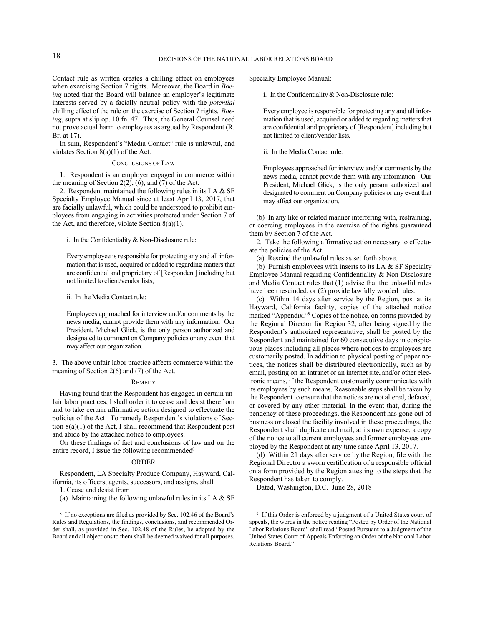Contact rule as written creates a chilling effect on employees when exercising Section 7 rights. Moreover, the Board in *Boeing* noted that the Board will balance an employer's legitimate interests served by a facially neutral policy with the *potential* chilling effect of the rule on the exercise of Section 7 rights. *Boeing*, supra at slip op. 10 fn. 47. Thus, the General Counsel need not prove actual harm to employees as argued by Respondent (R. Br. at 17).

In sum, Respondent's "Media Contact" rule is unlawful, and violates Section  $8(a)(1)$  of the Act.

#### CONCLUSIONS OF LAW

1. Respondent is an employer engaged in commerce within the meaning of Section 2(2),  $(6)$ , and  $(7)$  of the Act.

2. Respondent maintained the following rules in its LA & SF Specialty Employee Manual since at least April 13, 2017, that are facially unlawful, which could be understood to prohibit employees from engaging in activities protected under Section 7 of the Act, and therefore, violate Section 8(a)(1).

i. In the Confidentiality & Non-Disclosure rule:

Every employee is responsible for protecting any and all information that is used, acquired or added to regarding matters that are confidential and proprietary of [Respondent] including but not limited to client/vendor lists,

ii. In the Media Contact rule:

Employees approached for interview and/or comments by the news media, cannot provide them with any information. Our President, Michael Glick, is the only person authorized and designated to comment on Company policies or any event that may affect our organization.

3. The above unfair labor practice affects commerce within the meaning of Section 2(6) and (7) of the Act.

## **REMEDY**

Having found that the Respondent has engaged in certain unfair labor practices, I shall order it to cease and desist therefrom and to take certain affirmative action designed to effectuate the policies of the Act. To remedy Respondent's violations of Section 8(a)(1) of the Act, I shall recommend that Respondent post and abide by the attached notice to employees.

On these findings of fact and conclusions of law and on the entire record, I issue the following recommended<sup>8</sup>

#### ORDER

Respondent, LA Specialty Produce Company, Hayward, California, its officers, agents, successors, and assigns, shall

1. Cease and desist from

-

(a) Maintaining the following unlawful rules in its LA  $&$  SF

Specialty Employee Manual:

i. In the Confidentiality & Non-Disclosure rule:

Every employee is responsible for protecting any and all information that is used, acquired or added to regarding matters that are confidential and proprietary of [Respondent] including but not limited to client/vendor lists,

ii. In the Media Contact rule:

Employees approached for interview and/or comments by the news media, cannot provide them with any information. Our President, Michael Glick, is the only person authorized and designated to comment on Company policies or any event that may affect our organization.

(b) In any like or related manner interfering with, restraining, or coercing employees in the exercise of the rights guaranteed them by Section 7 of the Act.

2. Take the following affirmative action necessary to effectuate the policies of the Act.

(a) Rescind the unlawful rules as set forth above.

(b) Furnish employees with inserts to its LA  $&$  SF Specialty Employee Manual regarding Confidentiality & Non-Disclosure and Media Contact rules that (1) advise that the unlawful rules have been rescinded, or (2) provide lawfully worded rules.

(c) Within 14 days after service by the Region, post at its Hayward, California facility, copies of the attached notice marked "Appendix." <sup>9</sup> Copies of the notice, on forms provided by the Regional Director for Region 32, after being signed by the Respondent's authorized representative, shall be posted by the Respondent and maintained for 60 consecutive days in conspicuous places including all places where notices to employees are customarily posted. In addition to physical posting of paper notices, the notices shall be distributed electronically, such as by email, posting on an intranet or an internet site, and/or other electronic means, if the Respondent customarily communicates with its employees by such means. Reasonable steps shall be taken by the Respondent to ensure that the notices are not altered, defaced, or covered by any other material. In the event that, during the pendency of these proceedings, the Respondent has gone out of business or closed the facility involved in these proceedings, the Respondent shall duplicate and mail, at its own expense, a copy of the notice to all current employees and former employees employed by the Respondent at any time since April 13, 2017.

(d) Within 21 days after service by the Region, file with the Regional Director a sworn certification of a responsible official on a form provided by the Region attesting to the steps that the Respondent has taken to comply.

Dated, Washington, D.C. June 28, 2018

<sup>9</sup> If this Order is enforced by a judgment of a United States court of appeals, the words in the notice reading "Posted by Order of the National Labor Relations Board" shall read "Posted Pursuant to a Judgment of the United States Court of Appeals Enforcing an Order of the National Labor Relations Board."

<sup>8</sup> If no exceptions are filed as provided by Sec. 102.46 of the Board's Rules and Regulations, the findings, conclusions, and recommended Order shall, as provided in Sec. 102.48 of the Rules, be adopted by the Board and all objections to them shall be deemed waived for all purposes.